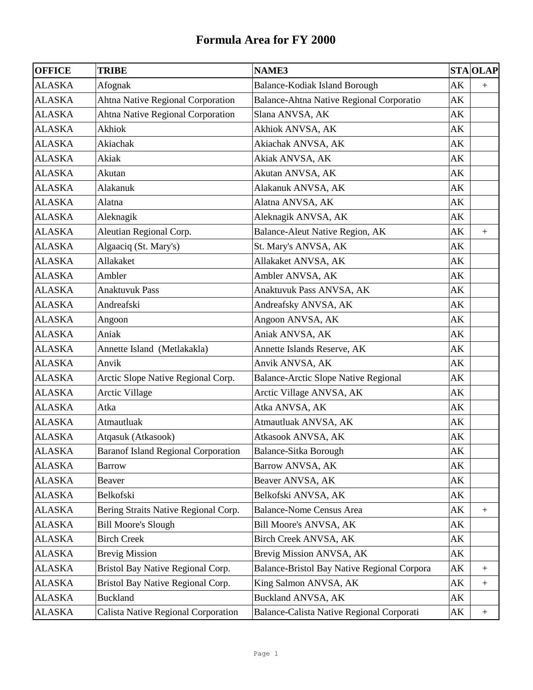| <b>OFFICE</b> | <b>TRIBE</b>                               | <b>NAME3</b>                                |                        | <b>STA OLAP</b>  |
|---------------|--------------------------------------------|---------------------------------------------|------------------------|------------------|
| <b>ALASKA</b> | Afognak                                    | Balance-Kodiak Island Borough               | AK                     | $+$              |
| <b>ALASKA</b> | Ahtna Native Regional Corporation          | Balance-Ahtna Native Regional Corporatio    | AK                     |                  |
| <b>ALASKA</b> | Ahtna Native Regional Corporation          | Slana ANVSA, AK                             | AK                     |                  |
| <b>ALASKA</b> | Akhiok                                     | Akhiok ANVSA, AK                            | AK                     |                  |
| <b>ALASKA</b> | Akiachak                                   | Akiachak ANVSA, AK                          | AK                     |                  |
| <b>ALASKA</b> | Akiak                                      | Akiak ANVSA, AK                             | AK                     |                  |
| <b>ALASKA</b> | Akutan                                     | Akutan ANVSA, AK                            | AK                     |                  |
| <b>ALASKA</b> | Alakanuk                                   | Alakanuk ANVSA, AK                          | AK                     |                  |
| <b>ALASKA</b> | Alatna                                     | Alatna ANVSA, AK                            | AK                     |                  |
| <b>ALASKA</b> | Aleknagik                                  | Aleknagik ANVSA, AK                         | AK                     |                  |
| <b>ALASKA</b> | Aleutian Regional Corp.                    | Balance-Aleut Native Region, AK             | AK                     | $\boldsymbol{+}$ |
| <b>ALASKA</b> | Algaaciq (St. Mary's)                      | St. Mary's ANVSA, AK                        | AK                     |                  |
| <b>ALASKA</b> | Allakaket                                  | Allakaket ANVSA, AK                         | AK                     |                  |
| <b>ALASKA</b> | Ambler                                     | Ambler ANVSA, AK                            | AK                     |                  |
| <b>ALASKA</b> | <b>Anaktuvuk Pass</b>                      | Anaktuvuk Pass ANVSA, AK                    | AK                     |                  |
| <b>ALASKA</b> | Andreafski                                 | Andreafsky ANVSA, AK                        | AK                     |                  |
| <b>ALASKA</b> | Angoon                                     | Angoon ANVSA, AK                            | AK                     |                  |
| <b>ALASKA</b> | Aniak                                      | Aniak ANVSA, AK                             | AK                     |                  |
| <b>ALASKA</b> | Annette Island (Metlakakla)                | Annette Islands Reserve, AK                 | AK                     |                  |
| <b>ALASKA</b> | Anvik                                      | Anvik ANVSA, AK                             | AK                     |                  |
| <b>ALASKA</b> | Arctic Slope Native Regional Corp.         | Balance-Arctic Slope Native Regional        | AK                     |                  |
| <b>ALASKA</b> | <b>Arctic Village</b>                      | Arctic Village ANVSA, AK                    | AK                     |                  |
| <b>ALASKA</b> | Atka                                       | Atka ANVSA, AK                              | AK                     |                  |
| <b>ALASKA</b> | Atmautluak                                 | Atmautluak ANVSA, AK                        | AK                     |                  |
| <b>ALASKA</b> | Atqasuk (Atkasook)                         | Atkasook ANVSA, AK                          | AK                     |                  |
| <b>ALASKA</b> | <b>Baranof Island Regional Corporation</b> | Balance-Sitka Borough                       | $\mathbf{A}\mathbf{K}$ |                  |
| <b>ALASKA</b> | <b>Barrow</b>                              | Barrow ANVSA, AK                            | AK                     |                  |
| <b>ALASKA</b> | Beaver                                     | Beaver ANVSA, AK                            | АK                     |                  |
| ALASKA        | Belkofski                                  | Belkofski ANVSA, AK                         | AK                     |                  |
| <b>ALASKA</b> | Bering Straits Native Regional Corp.       | <b>Balance-Nome Census Area</b>             | AΚ                     | $\boldsymbol{+}$ |
| ALASKA        | <b>Bill Moore's Slough</b>                 | <b>Bill Moore's ANVSA, AK</b>               | АK                     |                  |
| ALASKA        | <b>Birch Creek</b>                         | Birch Creek ANVSA, AK                       | АK                     |                  |
| <b>ALASKA</b> | <b>Brevig Mission</b>                      | Brevig Mission ANVSA, AK                    | AK                     |                  |
| ALASKA        | Bristol Bay Native Regional Corp.          | Balance-Bristol Bay Native Regional Corpora | AK                     | $^{+}$           |
| ALASKA        | Bristol Bay Native Regional Corp.          | King Salmon ANVSA, AK                       | АK                     | $\boldsymbol{+}$ |
| ALASKA        | <b>Buckland</b>                            | Buckland ANVSA, AK                          | AΚ                     |                  |
| ALASKA        | Calista Native Regional Corporation        | Balance-Calista Native Regional Corporati   | AK                     | $\boldsymbol{+}$ |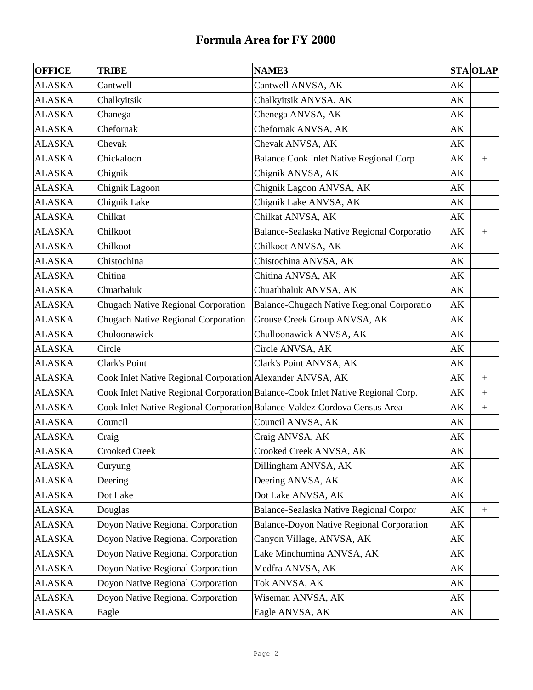| <b>OFFICE</b> | <b>TRIBE</b>                                               | <b>NAME3</b>                                                                    |    | <b>STA OLAP</b> |
|---------------|------------------------------------------------------------|---------------------------------------------------------------------------------|----|-----------------|
| <b>ALASKA</b> | Cantwell                                                   | Cantwell ANVSA, AK                                                              | AK |                 |
| <b>ALASKA</b> | Chalkyitsik                                                | Chalkyitsik ANVSA, AK                                                           | AK |                 |
| <b>ALASKA</b> | Chanega                                                    | Chenega ANVSA, AK                                                               | AK |                 |
| <b>ALASKA</b> | Chefornak                                                  | Chefornak ANVSA, AK                                                             | AK |                 |
| <b>ALASKA</b> | Chevak                                                     | Chevak ANVSA, AK                                                                | AK |                 |
| <b>ALASKA</b> | Chickaloon                                                 | <b>Balance Cook Inlet Native Regional Corp</b>                                  | AK | $+$             |
| <b>ALASKA</b> | Chignik                                                    | Chignik ANVSA, AK                                                               | AK |                 |
| <b>ALASKA</b> | Chignik Lagoon                                             | Chignik Lagoon ANVSA, AK                                                        | AK |                 |
| <b>ALASKA</b> | Chignik Lake                                               | Chignik Lake ANVSA, AK                                                          | AK |                 |
| <b>ALASKA</b> | Chilkat                                                    | Chilkat ANVSA, AK                                                               | AK |                 |
| <b>ALASKA</b> | Chilkoot                                                   | Balance-Sealaska Native Regional Corporatio                                     | AK | $+$             |
| <b>ALASKA</b> | Chilkoot                                                   | Chilkoot ANVSA, AK                                                              | AK |                 |
| <b>ALASKA</b> | Chistochina                                                | Chistochina ANVSA, AK                                                           | AK |                 |
| <b>ALASKA</b> | Chitina                                                    | Chitina ANVSA, AK                                                               | AK |                 |
| <b>ALASKA</b> | Chuatbaluk                                                 | Chuathbaluk ANVSA, AK                                                           | AK |                 |
| <b>ALASKA</b> | <b>Chugach Native Regional Corporation</b>                 | <b>Balance-Chugach Native Regional Corporatio</b>                               | AK |                 |
| <b>ALASKA</b> | <b>Chugach Native Regional Corporation</b>                 | Grouse Creek Group ANVSA, AK                                                    | AK |                 |
| <b>ALASKA</b> | Chuloonawick                                               | Chulloonawick ANVSA, AK                                                         | AK |                 |
| <b>ALASKA</b> | Circle                                                     | Circle ANVSA, AK                                                                | AK |                 |
| <b>ALASKA</b> | Clark's Point                                              | Clark's Point ANVSA, AK                                                         | AK |                 |
| <b>ALASKA</b> | Cook Inlet Native Regional Corporation Alexander ANVSA, AK |                                                                                 | AK | $+$             |
| <b>ALASKA</b> |                                                            | Cook Inlet Native Regional Corporation Balance-Cook Inlet Native Regional Corp. | AK | $+$             |
| <b>ALASKA</b> |                                                            | Cook Inlet Native Regional Corporation Balance-Valdez-Cordova Census Area       | AK | $^{+}$          |
| <b>ALASKA</b> | Council                                                    | Council ANVSA, AK                                                               | AK |                 |
| <b>ALASKA</b> | Craig                                                      | Craig ANVSA, AK                                                                 | AK |                 |
| <b>ALASKA</b> | <b>Crooked Creek</b>                                       | Crooked Creek ANVSA, AK                                                         | AK |                 |
| <b>ALASKA</b> | Curyung                                                    | Dillingham ANVSA, AK                                                            | AK |                 |
| <b>ALASKA</b> | Deering                                                    | Deering ANVSA, AK                                                               | AK |                 |
| ALASKA        | Dot Lake                                                   | Dot Lake ANVSA, AK                                                              | AK |                 |
| <b>ALASKA</b> | Douglas                                                    | Balance-Sealaska Native Regional Corpor                                         | AK |                 |
| <b>ALASKA</b> | Doyon Native Regional Corporation                          | <b>Balance-Doyon Native Regional Corporation</b>                                | AK |                 |
| <b>ALASKA</b> | Doyon Native Regional Corporation                          | Canyon Village, ANVSA, AK                                                       | AK |                 |
| <b>ALASKA</b> | Doyon Native Regional Corporation                          | Lake Minchumina ANVSA, AK                                                       | AK |                 |
| <b>ALASKA</b> | Doyon Native Regional Corporation                          | Medfra ANVSA, AK                                                                | AK |                 |
| <b>ALASKA</b> | Doyon Native Regional Corporation                          | Tok ANVSA, AK                                                                   | АK |                 |
| <b>ALASKA</b> | Doyon Native Regional Corporation                          | Wiseman ANVSA, AK                                                               | AK |                 |
| ALASKA        | Eagle                                                      | Eagle ANVSA, AK                                                                 | AK |                 |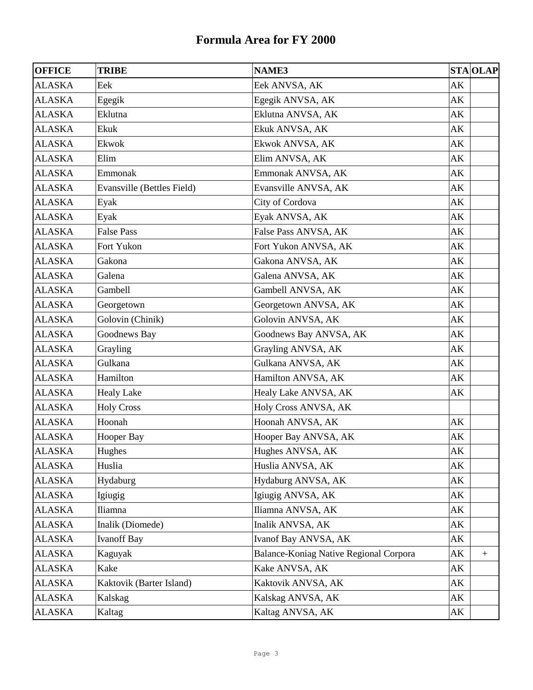| <b>OFFICE</b> | <b>TRIBE</b>               | <b>NAME3</b>                           | <b>STA OLAP</b>        |
|---------------|----------------------------|----------------------------------------|------------------------|
| <b>ALASKA</b> | Eek                        | Eek ANVSA, AK                          | AK                     |
| <b>ALASKA</b> | Egegik                     | Egegik ANVSA, AK                       | AK                     |
| <b>ALASKA</b> | Eklutna                    | Eklutna ANVSA, AK                      | AK                     |
| <b>ALASKA</b> | Ekuk                       | Ekuk ANVSA, AK                         | AK                     |
| <b>ALASKA</b> | Ekwok                      | Ekwok ANVSA, AK                        | AK                     |
| <b>ALASKA</b> | Elim                       | Elim ANVSA, AK                         | AK                     |
| <b>ALASKA</b> | Emmonak                    | Emmonak ANVSA, AK                      | AK                     |
| <b>ALASKA</b> | Evansville (Bettles Field) | Evansville ANVSA, AK                   | AK                     |
| <b>ALASKA</b> | Eyak                       | City of Cordova                        | AK                     |
| <b>ALASKA</b> | Eyak                       | Eyak ANVSA, AK                         | AK                     |
| <b>ALASKA</b> | <b>False Pass</b>          | False Pass ANVSA, AK                   | АK                     |
| <b>ALASKA</b> | Fort Yukon                 | Fort Yukon ANVSA, AK                   | AK                     |
| <b>ALASKA</b> | Gakona                     | Gakona ANVSA, AK                       | AK                     |
| <b>ALASKA</b> | Galena                     | Galena ANVSA, AK                       | AK                     |
| <b>ALASKA</b> | Gambell                    | Gambell ANVSA, AK                      | AK                     |
| <b>ALASKA</b> | Georgetown                 | Georgetown ANVSA, AK                   | AK                     |
| <b>ALASKA</b> | Golovin (Chinik)           | Golovin ANVSA, AK                      | AK                     |
| <b>ALASKA</b> | Goodnews Bay               | Goodnews Bay ANVSA, AK                 | AK                     |
| <b>ALASKA</b> | Grayling                   | Grayling ANVSA, AK                     | AK                     |
| <b>ALASKA</b> | Gulkana                    | Gulkana ANVSA, AK                      | AK                     |
| <b>ALASKA</b> | Hamilton                   | Hamilton ANVSA, AK                     | AK                     |
| <b>ALASKA</b> | <b>Healy Lake</b>          | Healy Lake ANVSA, AK                   | AK                     |
| <b>ALASKA</b> | <b>Holy Cross</b>          | Holy Cross ANVSA, AK                   |                        |
| <b>ALASKA</b> | Hoonah                     | Hoonah ANVSA, AK                       | AK                     |
| <b>ALASKA</b> | Hooper Bay                 | Hooper Bay ANVSA, AK                   | AK                     |
| <b>ALASKA</b> | Hughes                     | Hughes ANVSA, AK                       | $\mathbf{A}\mathbf{K}$ |
| <b>ALASKA</b> | Huslia                     | Huslia ANVSA, AK                       | AK                     |
| <b>ALASKA</b> | Hydaburg                   | Hydaburg ANVSA, AK                     | AK                     |
| <b>ALASKA</b> | Igiugig                    | Igiugig ANVSA, AK                      | AK                     |
| <b>ALASKA</b> | Iliamna                    | Iliamna ANVSA, AK                      | AK                     |
| <b>ALASKA</b> | Inalik (Diomede)           | Inalik ANVSA, AK                       | AK                     |
| <b>ALASKA</b> | <b>Ivanoff Bay</b>         | Ivanof Bay ANVSA, AK                   | AK                     |
| <b>ALASKA</b> | Kaguyak                    | Balance-Koniag Native Regional Corpora | AK<br>$^{+}$           |
| <b>ALASKA</b> | Kake                       | Kake ANVSA, AK                         | AK                     |
| <b>ALASKA</b> | Kaktovik (Barter Island)   | Kaktovik ANVSA, AK                     | AK                     |
| <b>ALASKA</b> | Kalskag                    | Kalskag ANVSA, AK                      | AK                     |
| <b>ALASKA</b> | Kaltag                     | Kaltag ANVSA, AK                       | AK                     |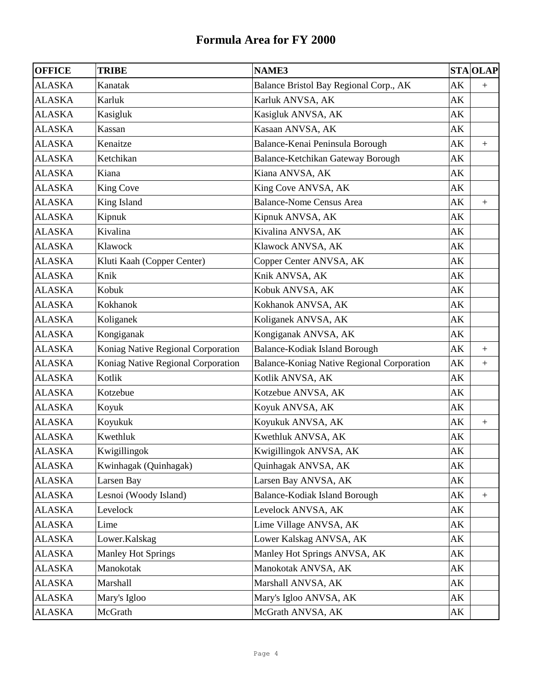| <b>OFFICE</b> | <b>TRIBE</b>                       | <b>NAME3</b>                               |                        | <b>STA OLAP</b>  |
|---------------|------------------------------------|--------------------------------------------|------------------------|------------------|
| <b>ALASKA</b> | Kanatak                            | Balance Bristol Bay Regional Corp., AK     | AK                     | $+$              |
| <b>ALASKA</b> | Karluk                             | Karluk ANVSA, AK                           | AK                     |                  |
| <b>ALASKA</b> | Kasigluk                           | Kasigluk ANVSA, AK                         | AK                     |                  |
| <b>ALASKA</b> | Kassan                             | Kasaan ANVSA, AK                           | AK                     |                  |
| <b>ALASKA</b> | Kenaitze                           | Balance-Kenai Peninsula Borough            | AK                     | $+$              |
| <b>ALASKA</b> | Ketchikan                          | Balance-Ketchikan Gateway Borough          | AK                     |                  |
| <b>ALASKA</b> | Kiana                              | Kiana ANVSA, AK                            | AK                     |                  |
| <b>ALASKA</b> | King Cove                          | King Cove ANVSA, AK                        | AK                     |                  |
| <b>ALASKA</b> | King Island                        | <b>Balance-Nome Census Area</b>            | AK                     | $\boldsymbol{+}$ |
| <b>ALASKA</b> | Kipnuk                             | Kipnuk ANVSA, AK                           | AK                     |                  |
| <b>ALASKA</b> | Kivalina                           | Kivalina ANVSA, AK                         | AK                     |                  |
| <b>ALASKA</b> | Klawock                            | Klawock ANVSA, AK                          | AK                     |                  |
| <b>ALASKA</b> | Kluti Kaah (Copper Center)         | Copper Center ANVSA, AK                    | AK                     |                  |
| <b>ALASKA</b> | Knik                               | Knik ANVSA, AK                             | AK                     |                  |
| <b>ALASKA</b> | Kobuk                              | Kobuk ANVSA, AK                            | AK                     |                  |
| <b>ALASKA</b> | Kokhanok                           | Kokhanok ANVSA, AK                         | AK                     |                  |
| <b>ALASKA</b> | Koliganek                          | Koliganek ANVSA, AK                        | AK                     |                  |
| <b>ALASKA</b> | Kongiganak                         | Kongiganak ANVSA, AK                       | AK                     |                  |
| <b>ALASKA</b> | Koniag Native Regional Corporation | Balance-Kodiak Island Borough              | AK                     | $+$              |
| <b>ALASKA</b> | Koniag Native Regional Corporation | Balance-Koniag Native Regional Corporation | AK                     | $+$              |
| <b>ALASKA</b> | Kotlik                             | Kotlik ANVSA, AK                           | AK                     |                  |
| <b>ALASKA</b> | Kotzebue                           | Kotzebue ANVSA, AK                         | AK                     |                  |
| <b>ALASKA</b> | Koyuk                              | Koyuk ANVSA, AK                            | AK                     |                  |
| <b>ALASKA</b> | Koyukuk                            | Koyukuk ANVSA, AK                          | AK                     | $\boldsymbol{+}$ |
| <b>ALASKA</b> | Kwethluk                           | Kwethluk ANVSA, AK                         | АK                     |                  |
| <b>ALASKA</b> | Kwigillingok                       | Kwigillingok ANVSA, AK                     | $\mathbf{A}\mathbf{K}$ |                  |
| <b>ALASKA</b> | Kwinhagak (Quinhagak)              | Quinhagak ANVSA, AK                        | AK                     |                  |
| <b>ALASKA</b> | Larsen Bay                         | Larsen Bay ANVSA, AK                       | AK                     |                  |
| ALASKA        | Lesnoi (Woody Island)              | Balance-Kodiak Island Borough              | AK                     | $+$              |
| ALASKA        | Levelock                           | Levelock ANVSA, AK                         | АK                     |                  |
| ALASKA        | Lime                               | Lime Village ANVSA, AK                     | АK                     |                  |
| ALASKA        | Lower.Kalskag                      | Lower Kalskag ANVSA, AK                    | AK                     |                  |
| ALASKA        | <b>Manley Hot Springs</b>          | Manley Hot Springs ANVSA, AK               | AK                     |                  |
| <b>ALASKA</b> | Manokotak                          | Manokotak ANVSA, AK                        | AK                     |                  |
| ALASKA        | Marshall                           | Marshall ANVSA, AK                         | АK                     |                  |
| ALASKA        | Mary's Igloo                       | Mary's Igloo ANVSA, AK                     | AK                     |                  |
| ALASKA        | McGrath                            | McGrath ANVSA, AK                          | АK                     |                  |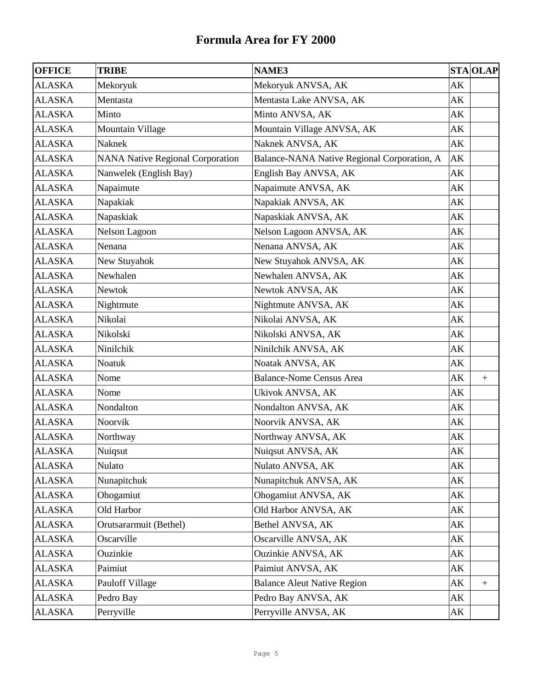| <b>OFFICE</b> | <b>TRIBE</b>                            | <b>NAME3</b>                                |    | <b>STA OLAP</b> |
|---------------|-----------------------------------------|---------------------------------------------|----|-----------------|
| <b>ALASKA</b> | Mekoryuk                                | Mekoryuk ANVSA, AK                          | AK |                 |
| <b>ALASKA</b> | Mentasta                                | Mentasta Lake ANVSA, AK                     | AK |                 |
| <b>ALASKA</b> | Minto                                   | Minto ANVSA, AK                             | AK |                 |
| <b>ALASKA</b> | Mountain Village                        | Mountain Village ANVSA, AK                  | AK |                 |
| <b>ALASKA</b> | Naknek                                  | Naknek ANVSA, AK                            | AK |                 |
| <b>ALASKA</b> | <b>NANA Native Regional Corporation</b> | Balance-NANA Native Regional Corporation, A | AK |                 |
| <b>ALASKA</b> | Nanwelek (English Bay)                  | English Bay ANVSA, AK                       | AK |                 |
| <b>ALASKA</b> | Napaimute                               | Napaimute ANVSA, AK                         | AK |                 |
| <b>ALASKA</b> | Napakiak                                | Napakiak ANVSA, AK                          | AK |                 |
| <b>ALASKA</b> | Napaskiak                               | Napaskiak ANVSA, AK                         | AK |                 |
| <b>ALASKA</b> | Nelson Lagoon                           | Nelson Lagoon ANVSA, AK                     | AK |                 |
| <b>ALASKA</b> | Nenana                                  | Nenana ANVSA, AK                            | AK |                 |
| <b>ALASKA</b> | New Stuyahok                            | New Stuyahok ANVSA, AK                      | AK |                 |
| <b>ALASKA</b> | Newhalen                                | Newhalen ANVSA, AK                          | AK |                 |
| <b>ALASKA</b> | <b>Newtok</b>                           | Newtok ANVSA, AK                            | AK |                 |
| <b>ALASKA</b> | Nightmute                               | Nightmute ANVSA, AK                         | AK |                 |
| <b>ALASKA</b> | Nikolai                                 | Nikolai ANVSA, AK                           | AK |                 |
| <b>ALASKA</b> | Nikolski                                | Nikolski ANVSA, AK                          | AK |                 |
| <b>ALASKA</b> | Ninilchik                               | Ninilchik ANVSA, AK                         | AK |                 |
| <b>ALASKA</b> | Noatuk                                  | Noatak ANVSA, AK                            | AK |                 |
| <b>ALASKA</b> | Nome                                    | <b>Balance-Nome Census Area</b>             | AK | $\pm$           |
| <b>ALASKA</b> | Nome                                    | Ukivok ANVSA, AK                            | AK |                 |
| <b>ALASKA</b> | Nondalton                               | Nondalton ANVSA, AK                         | AK |                 |
| <b>ALASKA</b> | Noorvik                                 | Noorvik ANVSA, AK                           | AK |                 |
| <b>ALASKA</b> | Northway                                | Northway ANVSA, AK                          | AK |                 |
| <b>ALASKA</b> | Nuiqsut                                 | Nuiqsut ANVSA, AK                           | AK |                 |
| <b>ALASKA</b> | Nulato                                  | Nulato ANVSA, AK                            | AK |                 |
| ALASKA        | Nunapitchuk                             | Nunapitchuk ANVSA, AK                       | AK |                 |
| ALASKA        | Ohogamiut                               | Ohogamiut ANVSA, AK                         | AK |                 |
| <b>ALASKA</b> | Old Harbor                              | Old Harbor ANVSA, AK                        | AK |                 |
| <b>ALASKA</b> | Orutsararmuit (Bethel)                  | Bethel ANVSA, AK                            | AK |                 |
| <b>ALASKA</b> | Oscarville                              | Oscarville ANVSA, AK                        | AK |                 |
| <b>ALASKA</b> | Ouzinkie                                | Ouzinkie ANVSA, AK                          | AK |                 |
| <b>ALASKA</b> | Paimiut                                 | Paimiut ANVSA, AK                           | AK |                 |
| <b>ALASKA</b> | Pauloff Village                         | <b>Balance Aleut Native Region</b>          | AK | $+$             |
| <b>ALASKA</b> | Pedro Bay                               | Pedro Bay ANVSA, AK                         | AK |                 |
| <b>ALASKA</b> | Perryville                              | Perryville ANVSA, AK                        | AK |                 |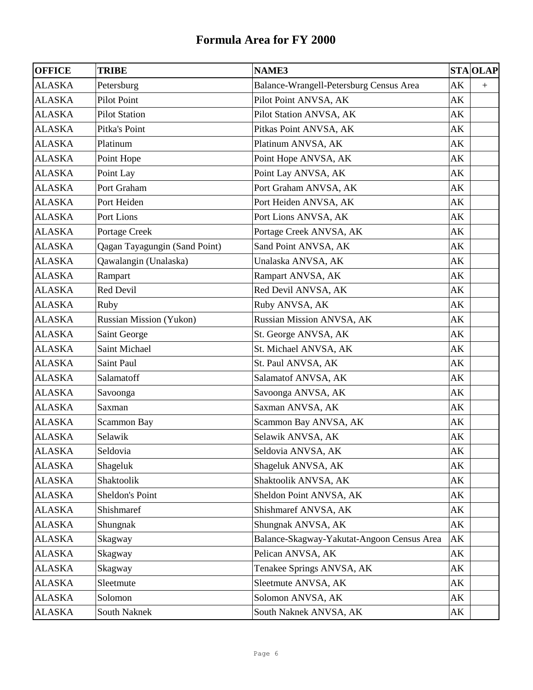| <b>OFFICE</b> | <b>TRIBE</b>                   | <b>NAME3</b>                               | <b>STA OLAP</b>        |
|---------------|--------------------------------|--------------------------------------------|------------------------|
| <b>ALASKA</b> | Petersburg                     | Balance-Wrangell-Petersburg Census Area    | AK<br>$+$              |
| <b>ALASKA</b> | <b>Pilot Point</b>             | Pilot Point ANVSA, AK                      | AK                     |
| <b>ALASKA</b> | <b>Pilot Station</b>           | Pilot Station ANVSA, AK                    | AK                     |
| <b>ALASKA</b> | Pitka's Point                  | Pitkas Point ANVSA, AK                     | AK                     |
| <b>ALASKA</b> | Platinum                       | Platinum ANVSA, AK                         | AK                     |
| <b>ALASKA</b> | Point Hope                     | Point Hope ANVSA, AK                       | AK                     |
| <b>ALASKA</b> | Point Lay                      | Point Lay ANVSA, AK                        | AK                     |
| <b>ALASKA</b> | Port Graham                    | Port Graham ANVSA, AK                      | AK                     |
| <b>ALASKA</b> | Port Heiden                    | Port Heiden ANVSA, AK                      | AK                     |
| <b>ALASKA</b> | Port Lions                     | Port Lions ANVSA, AK                       | AK                     |
| <b>ALASKA</b> | Portage Creek                  | Portage Creek ANVSA, AK                    | AK                     |
| <b>ALASKA</b> | Qagan Tayagungin (Sand Point)  | Sand Point ANVSA, AK                       | AK                     |
| <b>ALASKA</b> | Qawalangin (Unalaska)          | Unalaska ANVSA, AK                         | AK                     |
| <b>ALASKA</b> | Rampart                        | Rampart ANVSA, AK                          | AK                     |
| <b>ALASKA</b> | Red Devil                      | Red Devil ANVSA, AK                        | AK                     |
| <b>ALASKA</b> | Ruby                           | Ruby ANVSA, AK                             | AK                     |
| <b>ALASKA</b> | <b>Russian Mission (Yukon)</b> | Russian Mission ANVSA, AK                  | AK                     |
| <b>ALASKA</b> | Saint George                   | St. George ANVSA, AK                       | AK                     |
| <b>ALASKA</b> | Saint Michael                  | St. Michael ANVSA, AK                      | AK                     |
| <b>ALASKA</b> | Saint Paul                     | St. Paul ANVSA, AK                         | AK                     |
| <b>ALASKA</b> | Salamatoff                     | Salamatof ANVSA, AK                        | AK                     |
| <b>ALASKA</b> | Savoonga                       | Savoonga ANVSA, AK                         | AK                     |
| <b>ALASKA</b> | Saxman                         | Saxman ANVSA, AK                           | AK                     |
| <b>ALASKA</b> | <b>Scammon Bay</b>             | Scammon Bay ANVSA, AK                      | AK                     |
| <b>ALASKA</b> | Selawik                        | Selawik ANVSA, AK                          | AK                     |
| <b>ALASKA</b> | Seldovia                       | Seldovia ANVSA, AK                         | $\mathbf{A}\mathbf{K}$ |
| <b>ALASKA</b> | Shageluk                       | Shageluk ANVSA, AK                         | AK                     |
| <b>ALASKA</b> | Shaktoolik                     | Shaktoolik ANVSA, AK                       | АK                     |
| ALASKA        | Sheldon's Point                | Sheldon Point ANVSA, AK                    | AK                     |
| <b>ALASKA</b> | Shishmaref                     | Shishmaref ANVSA, AK                       | АK                     |
| <b>ALASKA</b> | Shungnak                       | Shungnak ANVSA, AK                         | AK                     |
| <b>ALASKA</b> | Skagway                        | Balance-Skagway-Yakutat-Angoon Census Area | AK                     |
| <b>ALASKA</b> | Skagway                        | Pelican ANVSA, AK                          | AK                     |
| <b>ALASKA</b> | Skagway                        | Tenakee Springs ANVSA, AK                  | AK                     |
| <b>ALASKA</b> | Sleetmute                      | Sleetmute ANVSA, AK                        | AK                     |
| <b>ALASKA</b> | Solomon                        | Solomon ANVSA, AK                          | AK                     |
| <b>ALASKA</b> | South Naknek                   | South Naknek ANVSA, AK                     | АK                     |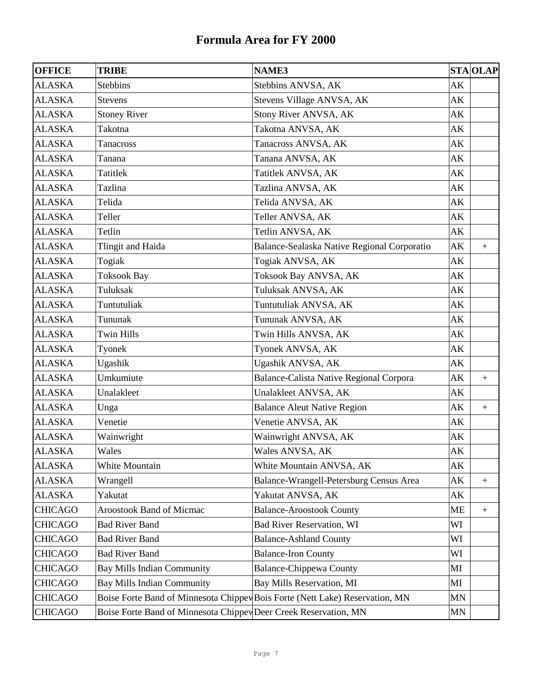| <b>OFFICE</b>  | <b>TRIBE</b>                                                     | NAME3                                                                        |                        | <b>STA OLAP</b>  |
|----------------|------------------------------------------------------------------|------------------------------------------------------------------------------|------------------------|------------------|
| <b>ALASKA</b>  | <b>Stebbins</b>                                                  | Stebbins ANVSA, AK                                                           | AK                     |                  |
| <b>ALASKA</b>  | Stevens                                                          | Stevens Village ANVSA, AK                                                    | AK                     |                  |
| <b>ALASKA</b>  | <b>Stoney River</b>                                              | Stony River ANVSA, AK                                                        | AK                     |                  |
| <b>ALASKA</b>  | Takotna                                                          | Takotna ANVSA, AK                                                            | AK                     |                  |
| <b>ALASKA</b>  | Tanacross                                                        | Tanacross ANVSA, AK                                                          | AK                     |                  |
| <b>ALASKA</b>  | Tanana                                                           | Tanana ANVSA, AK                                                             | AK                     |                  |
| <b>ALASKA</b>  | Tatitlek                                                         | Tatitlek ANVSA, AK                                                           | AK                     |                  |
| <b>ALASKA</b>  | Tazlina                                                          | Tazlina ANVSA, AK                                                            | AK                     |                  |
| <b>ALASKA</b>  | Telida                                                           | Telida ANVSA, AK                                                             | AK                     |                  |
| <b>ALASKA</b>  | Teller                                                           | Teller ANVSA, AK                                                             | AK                     |                  |
| <b>ALASKA</b>  | Tetlin                                                           | Tetlin ANVSA, AK                                                             | AK                     |                  |
| <b>ALASKA</b>  | Tlingit and Haida                                                | Balance-Sealaska Native Regional Corporatio                                  | AK                     | $+$              |
| <b>ALASKA</b>  | Togiak                                                           | Togiak ANVSA, AK                                                             | AK                     |                  |
| <b>ALASKA</b>  | <b>Toksook Bay</b>                                               | Toksook Bay ANVSA, AK                                                        | AK                     |                  |
| <b>ALASKA</b>  | Tuluksak                                                         | Tuluksak ANVSA, AK                                                           | AK                     |                  |
| <b>ALASKA</b>  | Tuntutuliak                                                      | Tuntutuliak ANVSA, AK                                                        | AK                     |                  |
| <b>ALASKA</b>  | Tununak                                                          | Tununak ANVSA, AK                                                            | AK                     |                  |
| <b>ALASKA</b>  | <b>Twin Hills</b>                                                | Twin Hills ANVSA, AK                                                         | AK                     |                  |
| <b>ALASKA</b>  | Tyonek                                                           | Tyonek ANVSA, AK                                                             | AK                     |                  |
| <b>ALASKA</b>  | Ugashik                                                          | Ugashik ANVSA, AK                                                            | AK                     |                  |
| <b>ALASKA</b>  | Umkumiute                                                        | Balance-Calista Native Regional Corpora                                      | AK                     | $\boldsymbol{+}$ |
| <b>ALASKA</b>  | Unalakleet                                                       | Unalakleet ANVSA, AK                                                         | AK                     |                  |
| <b>ALASKA</b>  | Unga                                                             | <b>Balance Aleut Native Region</b>                                           | AK                     | $+$              |
| <b>ALASKA</b>  | Venetie                                                          | Venetie ANVSA, AK                                                            | AK                     |                  |
| <b>ALASKA</b>  | Wainwright                                                       | Wainwright ANVSA, AK                                                         | AK                     |                  |
| <b>ALASKA</b>  | Wales                                                            | Wales ANVSA, AK                                                              | $\mathbf{A}\mathbf{K}$ |                  |
| <b>ALASKA</b>  | White Mountain                                                   | White Mountain ANVSA, AK                                                     | АK                     |                  |
| <b>ALASKA</b>  | Wrangell                                                         | Balance-Wrangell-Petersburg Census Area                                      | АK                     |                  |
| <b>ALASKA</b>  | Yakutat                                                          | Yakutat ANVSA, AK                                                            | АK                     |                  |
| <b>CHICAGO</b> | <b>Aroostook Band of Micmac</b>                                  | <b>Balance-Aroostook County</b>                                              | ME                     | $\boldsymbol{+}$ |
| <b>CHICAGO</b> | <b>Bad River Band</b>                                            | <b>Bad River Reservation, WI</b>                                             | WI                     |                  |
| <b>CHICAGO</b> | <b>Bad River Band</b>                                            | <b>Balance-Ashland County</b>                                                | WI                     |                  |
| <b>CHICAGO</b> | <b>Bad River Band</b>                                            | <b>Balance-Iron County</b>                                                   | WI                     |                  |
| <b>CHICAGO</b> | <b>Bay Mills Indian Community</b>                                | <b>Balance-Chippewa County</b>                                               | MI                     |                  |
| <b>CHICAGO</b> | <b>Bay Mills Indian Community</b>                                | Bay Mills Reservation, MI                                                    | MI                     |                  |
| <b>CHICAGO</b> |                                                                  | Boise Forte Band of Minnesota Chippey Bois Forte (Nett Lake) Reservation, MN | MN                     |                  |
| <b>CHICAGO</b> | Boise Forte Band of Minnesota Chippey Deer Creek Reservation, MN |                                                                              | MN                     |                  |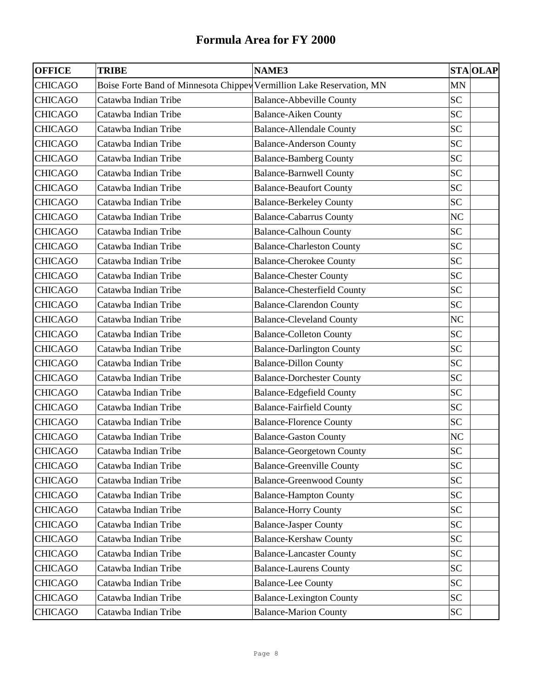| <b>OFFICE</b>  | <b>TRIBE</b>                                                          | <b>NAME3</b>                       | <b>STA OLAP</b> |
|----------------|-----------------------------------------------------------------------|------------------------------------|-----------------|
| <b>CHICAGO</b> | Boise Forte Band of Minnesota Chippev Vermillion Lake Reservation, MN |                                    | <b>MN</b>       |
| <b>CHICAGO</b> | Catawba Indian Tribe                                                  | <b>Balance-Abbeville County</b>    | <b>SC</b>       |
| <b>CHICAGO</b> | Catawba Indian Tribe                                                  | <b>Balance-Aiken County</b>        | <b>SC</b>       |
| <b>CHICAGO</b> | Catawba Indian Tribe                                                  | <b>Balance-Allendale County</b>    | <b>SC</b>       |
| <b>CHICAGO</b> | Catawba Indian Tribe                                                  | <b>Balance-Anderson County</b>     | <b>SC</b>       |
| <b>CHICAGO</b> | Catawba Indian Tribe                                                  | <b>Balance-Bamberg County</b>      | <b>SC</b>       |
| <b>CHICAGO</b> | Catawba Indian Tribe                                                  | <b>Balance-Barnwell County</b>     | <b>SC</b>       |
| <b>CHICAGO</b> | Catawba Indian Tribe                                                  | <b>Balance-Beaufort County</b>     | <b>SC</b>       |
| <b>CHICAGO</b> | Catawba Indian Tribe                                                  | <b>Balance-Berkeley County</b>     | <b>SC</b>       |
| <b>CHICAGO</b> | Catawba Indian Tribe                                                  | <b>Balance-Cabarrus County</b>     | NC              |
| <b>CHICAGO</b> | Catawba Indian Tribe                                                  | <b>Balance-Calhoun County</b>      | <b>SC</b>       |
| <b>CHICAGO</b> | Catawba Indian Tribe                                                  | <b>Balance-Charleston County</b>   | <b>SC</b>       |
| <b>CHICAGO</b> | Catawba Indian Tribe                                                  | <b>Balance-Cherokee County</b>     | <b>SC</b>       |
| <b>CHICAGO</b> | Catawba Indian Tribe                                                  | <b>Balance-Chester County</b>      | <b>SC</b>       |
| <b>CHICAGO</b> | Catawba Indian Tribe                                                  | <b>Balance-Chesterfield County</b> | <b>SC</b>       |
| <b>CHICAGO</b> | Catawba Indian Tribe                                                  | <b>Balance-Clarendon County</b>    | <b>SC</b>       |
| <b>CHICAGO</b> | Catawba Indian Tribe                                                  | <b>Balance-Cleveland County</b>    | NC              |
| <b>CHICAGO</b> | Catawba Indian Tribe                                                  | <b>Balance-Colleton County</b>     | <b>SC</b>       |
| <b>CHICAGO</b> | Catawba Indian Tribe                                                  | <b>Balance-Darlington County</b>   | <b>SC</b>       |
| <b>CHICAGO</b> | Catawba Indian Tribe                                                  | <b>Balance-Dillon County</b>       | <b>SC</b>       |
| <b>CHICAGO</b> | Catawba Indian Tribe                                                  | <b>Balance-Dorchester County</b>   | <b>SC</b>       |
| <b>CHICAGO</b> | Catawba Indian Tribe                                                  | <b>Balance-Edgefield County</b>    | <b>SC</b>       |
| <b>CHICAGO</b> | Catawba Indian Tribe                                                  | <b>Balance-Fairfield County</b>    | <b>SC</b>       |
| <b>CHICAGO</b> | Catawba Indian Tribe                                                  | <b>Balance-Florence County</b>     | <b>SC</b>       |
| <b>CHICAGO</b> | Catawba Indian Tribe                                                  | <b>Balance-Gaston County</b>       | NC              |
| <b>CHICAGO</b> | Catawba Indian Tribe                                                  | <b>Balance-Georgetown County</b>   | SC              |
| <b>CHICAGO</b> | Catawba Indian Tribe                                                  | <b>Balance-Greenville County</b>   | <b>SC</b>       |
| <b>CHICAGO</b> | Catawba Indian Tribe                                                  | <b>Balance-Greenwood County</b>    | <b>SC</b>       |
| <b>CHICAGO</b> | Catawba Indian Tribe                                                  | <b>Balance-Hampton County</b>      | <b>SC</b>       |
| <b>CHICAGO</b> | Catawba Indian Tribe                                                  | <b>Balance-Horry County</b>        | <b>SC</b>       |
| <b>CHICAGO</b> | Catawba Indian Tribe                                                  | <b>Balance-Jasper County</b>       | <b>SC</b>       |
| <b>CHICAGO</b> | Catawba Indian Tribe                                                  | <b>Balance-Kershaw County</b>      | <b>SC</b>       |
| <b>CHICAGO</b> | Catawba Indian Tribe                                                  | <b>Balance-Lancaster County</b>    | <b>SC</b>       |
| <b>CHICAGO</b> | Catawba Indian Tribe                                                  | <b>Balance-Laurens County</b>      | <b>SC</b>       |
| <b>CHICAGO</b> | Catawba Indian Tribe                                                  | <b>Balance-Lee County</b>          | <b>SC</b>       |
| <b>CHICAGO</b> | Catawba Indian Tribe                                                  | <b>Balance-Lexington County</b>    | <b>SC</b>       |
| <b>CHICAGO</b> | Catawba Indian Tribe                                                  | <b>Balance-Marion County</b>       | <b>SC</b>       |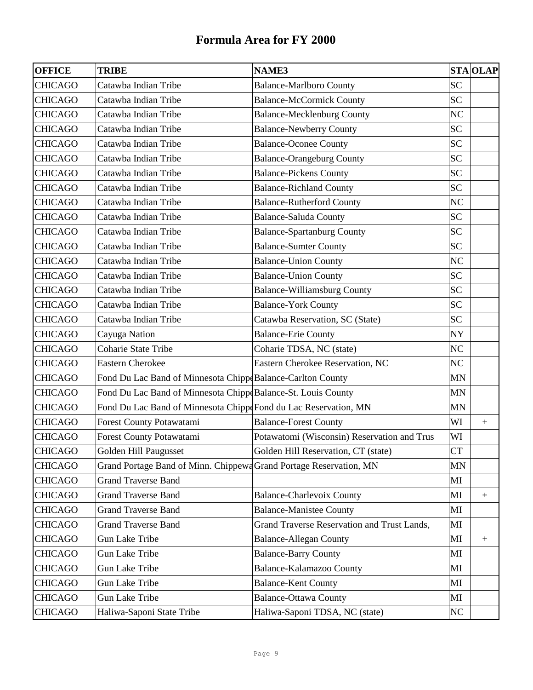| <b>OFFICE</b>  | <b>TRIBE</b>                                                       | <b>NAME3</b>                                |                | <b>STA OLAP</b>  |
|----------------|--------------------------------------------------------------------|---------------------------------------------|----------------|------------------|
| <b>CHICAGO</b> | Catawba Indian Tribe                                               | <b>Balance-Marlboro County</b>              | <b>SC</b>      |                  |
| <b>CHICAGO</b> | Catawba Indian Tribe                                               | <b>Balance-McCormick County</b>             | <b>SC</b>      |                  |
| <b>CHICAGO</b> | Catawba Indian Tribe                                               | <b>Balance-Mecklenburg County</b>           | N <sub>C</sub> |                  |
| <b>CHICAGO</b> | Catawba Indian Tribe                                               | <b>Balance-Newberry County</b>              | <b>SC</b>      |                  |
| <b>CHICAGO</b> | Catawba Indian Tribe                                               | <b>Balance-Oconee County</b>                | <b>SC</b>      |                  |
| <b>CHICAGO</b> | Catawba Indian Tribe                                               | <b>Balance-Orangeburg County</b>            | <b>SC</b>      |                  |
| <b>CHICAGO</b> | Catawba Indian Tribe                                               | <b>Balance-Pickens County</b>               | <b>SC</b>      |                  |
| <b>CHICAGO</b> | Catawba Indian Tribe                                               | <b>Balance-Richland County</b>              | <b>SC</b>      |                  |
| <b>CHICAGO</b> | Catawba Indian Tribe                                               | <b>Balance-Rutherford County</b>            | NC             |                  |
| <b>CHICAGO</b> | Catawba Indian Tribe                                               | <b>Balance-Saluda County</b>                | <b>SC</b>      |                  |
| <b>CHICAGO</b> | Catawba Indian Tribe                                               | <b>Balance-Spartanburg County</b>           | <b>SC</b>      |                  |
| <b>CHICAGO</b> | Catawba Indian Tribe                                               | <b>Balance-Sumter County</b>                | <b>SC</b>      |                  |
| <b>CHICAGO</b> | Catawba Indian Tribe                                               | <b>Balance-Union County</b>                 | NC             |                  |
| <b>CHICAGO</b> | Catawba Indian Tribe                                               | <b>Balance-Union County</b>                 | <b>SC</b>      |                  |
| <b>CHICAGO</b> | Catawba Indian Tribe                                               | <b>Balance-Williamsburg County</b>          | <b>SC</b>      |                  |
| <b>CHICAGO</b> | Catawba Indian Tribe                                               | <b>Balance-York County</b>                  | <b>SC</b>      |                  |
| <b>CHICAGO</b> | Catawba Indian Tribe                                               | Catawba Reservation, SC (State)             | <b>SC</b>      |                  |
| <b>CHICAGO</b> | Cayuga Nation                                                      | <b>Balance-Erie County</b>                  | <b>NY</b>      |                  |
| <b>CHICAGO</b> | <b>Coharie State Tribe</b>                                         | Coharie TDSA, NC (state)                    | NC             |                  |
| <b>CHICAGO</b> | <b>Eastern Cherokee</b>                                            | Eastern Cherokee Reservation, NC            | NC             |                  |
| <b>CHICAGO</b> | Fond Du Lac Band of Minnesota Chippe Balance-Carlton County        |                                             | <b>MN</b>      |                  |
| <b>CHICAGO</b> | Fond Du Lac Band of Minnesota Chipp(Balance-St. Louis County       |                                             | <b>MN</b>      |                  |
| <b>CHICAGO</b> | Fond Du Lac Band of Minnesota Chippe Fond du Lac Reservation, MN   |                                             | MN             |                  |
| <b>CHICAGO</b> | Forest County Potawatami                                           | <b>Balance-Forest County</b>                | WI             | $+$              |
| <b>CHICAGO</b> | Forest County Potawatami                                           | Potawatomi (Wisconsin) Reservation and Trus | WI             |                  |
| <b>CHICAGO</b> | Golden Hill Paugusset                                              | Golden Hill Reservation, CT (state)         | CT             |                  |
| <b>CHICAGO</b> | Grand Portage Band of Minn. Chippewa Grand Portage Reservation, MN |                                             | MN             |                  |
| <b>CHICAGO</b> | <b>Grand Traverse Band</b>                                         |                                             | MI             |                  |
| <b>CHICAGO</b> | <b>Grand Traverse Band</b>                                         | <b>Balance-Charlevoix County</b>            | MI             | $^{+}$           |
| <b>CHICAGO</b> | <b>Grand Traverse Band</b>                                         | <b>Balance-Manistee County</b>              | MI             |                  |
| <b>CHICAGO</b> | <b>Grand Traverse Band</b>                                         | Grand Traverse Reservation and Trust Lands, | MI             |                  |
| <b>CHICAGO</b> | Gun Lake Tribe                                                     | <b>Balance-Allegan County</b>               | MI             | $\boldsymbol{+}$ |
| <b>CHICAGO</b> | <b>Gun Lake Tribe</b>                                              | <b>Balance-Barry County</b>                 | MI             |                  |
| <b>CHICAGO</b> | <b>Gun Lake Tribe</b>                                              | Balance-Kalamazoo County                    | MI             |                  |
| <b>CHICAGO</b> | <b>Gun Lake Tribe</b>                                              | <b>Balance-Kent County</b>                  | MI             |                  |
| <b>CHICAGO</b> | <b>Gun Lake Tribe</b>                                              | <b>Balance-Ottawa County</b>                | MI             |                  |
| <b>CHICAGO</b> | Haliwa-Saponi State Tribe                                          | Haliwa-Saponi TDSA, NC (state)              | NC             |                  |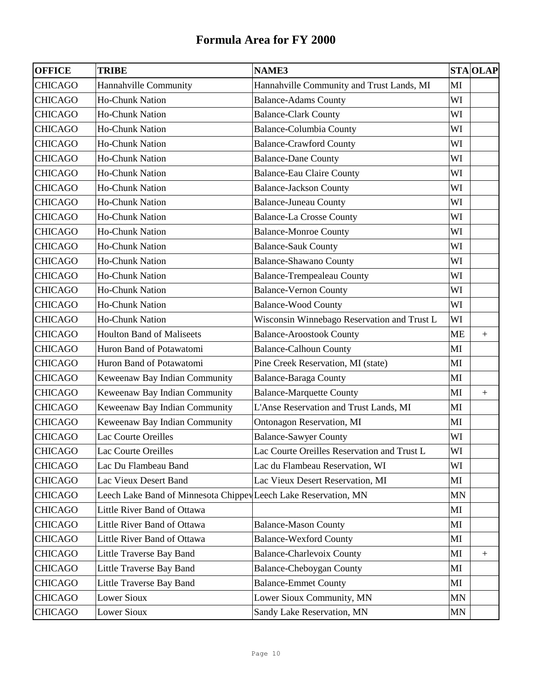| <b>OFFICE</b>  | <b>TRIBE</b>                                                    | <b>NAME3</b>                                |           | <b>STA OLAP</b>  |
|----------------|-----------------------------------------------------------------|---------------------------------------------|-----------|------------------|
| <b>CHICAGO</b> | Hannahville Community                                           | Hannahville Community and Trust Lands, MI   | MI        |                  |
| <b>CHICAGO</b> | <b>Ho-Chunk Nation</b>                                          | <b>Balance-Adams County</b>                 | WI        |                  |
| <b>CHICAGO</b> | <b>Ho-Chunk Nation</b>                                          | <b>Balance-Clark County</b>                 | WI        |                  |
| <b>CHICAGO</b> | <b>Ho-Chunk Nation</b>                                          | <b>Balance-Columbia County</b>              | WI        |                  |
| <b>CHICAGO</b> | <b>Ho-Chunk Nation</b>                                          | <b>Balance-Crawford County</b>              | WI        |                  |
| <b>CHICAGO</b> | <b>Ho-Chunk Nation</b>                                          | <b>Balance-Dane County</b>                  | WI        |                  |
| <b>CHICAGO</b> | <b>Ho-Chunk Nation</b>                                          | <b>Balance-Eau Claire County</b>            | WI        |                  |
| <b>CHICAGO</b> | <b>Ho-Chunk Nation</b>                                          | <b>Balance-Jackson County</b>               | WI        |                  |
| <b>CHICAGO</b> | <b>Ho-Chunk Nation</b>                                          | <b>Balance-Juneau County</b>                | WI        |                  |
| <b>CHICAGO</b> | Ho-Chunk Nation                                                 | <b>Balance-La Crosse County</b>             | WI        |                  |
| <b>CHICAGO</b> | <b>Ho-Chunk Nation</b>                                          | <b>Balance-Monroe County</b>                | WI        |                  |
| <b>CHICAGO</b> | <b>Ho-Chunk Nation</b>                                          | <b>Balance-Sauk County</b>                  | WI        |                  |
| <b>CHICAGO</b> | <b>Ho-Chunk Nation</b>                                          | <b>Balance-Shawano County</b>               | WI        |                  |
| <b>CHICAGO</b> | <b>Ho-Chunk Nation</b>                                          | <b>Balance-Trempealeau County</b>           | WI        |                  |
| <b>CHICAGO</b> | <b>Ho-Chunk Nation</b>                                          | <b>Balance-Vernon County</b>                | WI        |                  |
| <b>CHICAGO</b> | <b>Ho-Chunk Nation</b>                                          | <b>Balance-Wood County</b>                  | WI        |                  |
| <b>CHICAGO</b> | <b>Ho-Chunk Nation</b>                                          | Wisconsin Winnebago Reservation and Trust L | WI        |                  |
| <b>CHICAGO</b> | <b>Houlton Band of Maliseets</b>                                | <b>Balance-Aroostook County</b>             | <b>ME</b> | $+$              |
| <b>CHICAGO</b> | Huron Band of Potawatomi                                        | <b>Balance-Calhoun County</b>               | MI        |                  |
| <b>CHICAGO</b> | Huron Band of Potawatomi                                        | Pine Creek Reservation, MI (state)          | MI        |                  |
| <b>CHICAGO</b> | Keweenaw Bay Indian Community                                   | <b>Balance-Baraga County</b>                | MI        |                  |
| <b>CHICAGO</b> | Keweenaw Bay Indian Community                                   | <b>Balance-Marquette County</b>             | MI        | $+$              |
| <b>CHICAGO</b> | Keweenaw Bay Indian Community                                   | L'Anse Reservation and Trust Lands, MI      | MI        |                  |
| <b>CHICAGO</b> | Keweenaw Bay Indian Community                                   | <b>Ontonagon Reservation, MI</b>            | MI        |                  |
| <b>CHICAGO</b> | Lac Courte Oreilles                                             | <b>Balance-Sawyer County</b>                | WI        |                  |
| <b>CHICAGO</b> | Lac Courte Oreilles                                             | Lac Courte Oreilles Reservation and Trust L | WI        |                  |
| <b>CHICAGO</b> | Lac Du Flambeau Band                                            | Lac du Flambeau Reservation, WI             | WI        |                  |
| <b>CHICAGO</b> | Lac Vieux Desert Band                                           | Lac Vieux Desert Reservation, MI            | MI        |                  |
| <b>CHICAGO</b> | Leech Lake Band of Minnesota Chippey Leech Lake Reservation, MN |                                             | <b>MN</b> |                  |
| <b>CHICAGO</b> | Little River Band of Ottawa                                     |                                             | MI        |                  |
| <b>CHICAGO</b> | Little River Band of Ottawa                                     | <b>Balance-Mason County</b>                 | MI        |                  |
| <b>CHICAGO</b> | Little River Band of Ottawa                                     | <b>Balance-Wexford County</b>               | MI        |                  |
| <b>CHICAGO</b> | Little Traverse Bay Band                                        | <b>Balance-Charlevoix County</b>            | MI        | $\boldsymbol{+}$ |
| <b>CHICAGO</b> | Little Traverse Bay Band                                        | <b>Balance-Cheboygan County</b>             | MI        |                  |
| <b>CHICAGO</b> | Little Traverse Bay Band                                        | <b>Balance-Emmet County</b>                 | MI        |                  |
| <b>CHICAGO</b> | Lower Sioux                                                     | Lower Sioux Community, MN                   | <b>MN</b> |                  |
| <b>CHICAGO</b> | Lower Sioux                                                     | Sandy Lake Reservation, MN                  | MN        |                  |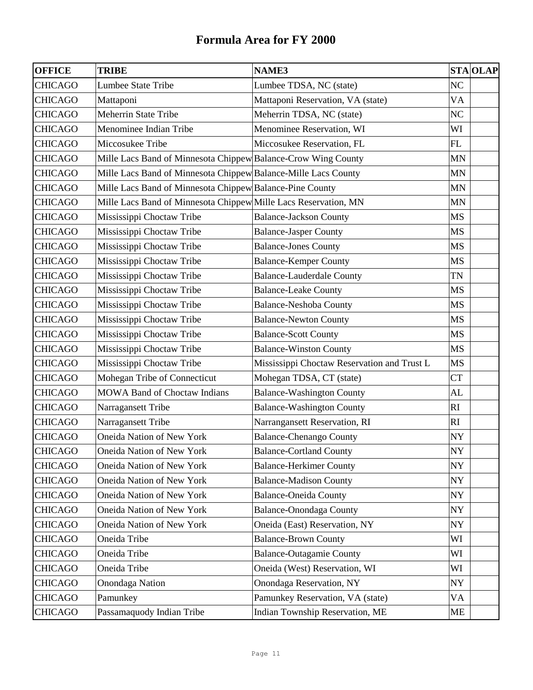| <b>OFFICE</b>  | <b>TRIBE</b>                                                    | <b>NAME3</b>                                | <b>STA OLAP</b> |
|----------------|-----------------------------------------------------------------|---------------------------------------------|-----------------|
| <b>CHICAGO</b> | Lumbee State Tribe                                              | Lumbee TDSA, NC (state)                     | N <sub>C</sub>  |
| <b>CHICAGO</b> | Mattaponi                                                       | Mattaponi Reservation, VA (state)           | VA              |
| <b>CHICAGO</b> | <b>Meherrin State Tribe</b>                                     | Meherrin TDSA, NC (state)                   | NC              |
| <b>CHICAGO</b> | Menominee Indian Tribe                                          | Menominee Reservation, WI                   | WI              |
| <b>CHICAGO</b> | Miccosukee Tribe                                                | Miccosukee Reservation, FL                  | FL              |
| <b>CHICAGO</b> | Mille Lacs Band of Minnesota Chippew Balance-Crow Wing County   |                                             | <b>MN</b>       |
| <b>CHICAGO</b> | Mille Lacs Band of Minnesota Chippew Balance-Mille Lacs County  |                                             | <b>MN</b>       |
| <b>CHICAGO</b> | Mille Lacs Band of Minnesota Chippew Balance-Pine County        |                                             | <b>MN</b>       |
| <b>CHICAGO</b> | Mille Lacs Band of Minnesota Chippew Mille Lacs Reservation, MN |                                             | <b>MN</b>       |
| <b>CHICAGO</b> | Mississippi Choctaw Tribe                                       | <b>Balance-Jackson County</b>               | <b>MS</b>       |
| <b>CHICAGO</b> | Mississippi Choctaw Tribe                                       | <b>Balance-Jasper County</b>                | <b>MS</b>       |
| <b>CHICAGO</b> | Mississippi Choctaw Tribe                                       | <b>Balance-Jones County</b>                 | <b>MS</b>       |
| <b>CHICAGO</b> | Mississippi Choctaw Tribe                                       | <b>Balance-Kemper County</b>                | <b>MS</b>       |
| <b>CHICAGO</b> | Mississippi Choctaw Tribe                                       | <b>Balance-Lauderdale County</b>            | TN              |
| <b>CHICAGO</b> | Mississippi Choctaw Tribe                                       | <b>Balance-Leake County</b>                 | <b>MS</b>       |
| <b>CHICAGO</b> | Mississippi Choctaw Tribe                                       | <b>Balance-Neshoba County</b>               | <b>MS</b>       |
| <b>CHICAGO</b> | Mississippi Choctaw Tribe                                       | <b>Balance-Newton County</b>                | <b>MS</b>       |
| <b>CHICAGO</b> | Mississippi Choctaw Tribe                                       | <b>Balance-Scott County</b>                 | <b>MS</b>       |
| <b>CHICAGO</b> | Mississippi Choctaw Tribe                                       | <b>Balance-Winston County</b>               | <b>MS</b>       |
| <b>CHICAGO</b> | Mississippi Choctaw Tribe                                       | Mississippi Choctaw Reservation and Trust L | <b>MS</b>       |
| <b>CHICAGO</b> | Mohegan Tribe of Connecticut                                    | Mohegan TDSA, CT (state)                    | <b>CT</b>       |
| <b>CHICAGO</b> | <b>MOWA Band of Choctaw Indians</b>                             | <b>Balance-Washington County</b>            | AL              |
| <b>CHICAGO</b> | Narragansett Tribe                                              | <b>Balance-Washington County</b>            | RI              |
| <b>CHICAGO</b> | Narragansett Tribe                                              | Narrangansett Reservation, RI               | RI              |
| <b>CHICAGO</b> | Oneida Nation of New York                                       | <b>Balance-Chenango County</b>              | NY              |
| <b>CHICAGO</b> | Oneida Nation of New York                                       | <b>Balance-Cortland County</b>              | <b>NY</b>       |
| <b>CHICAGO</b> | Oneida Nation of New York                                       | <b>Balance-Herkimer County</b>              | NY              |
| <b>CHICAGO</b> | Oneida Nation of New York                                       | <b>Balance-Madison County</b>               | NY              |
| <b>CHICAGO</b> | Oneida Nation of New York                                       | <b>Balance-Oneida County</b>                | NY              |
| <b>CHICAGO</b> | Oneida Nation of New York                                       | <b>Balance-Onondaga County</b>              | NY              |
| <b>CHICAGO</b> | <b>Oneida Nation of New York</b>                                | Oneida (East) Reservation, NY               | NY              |
| <b>CHICAGO</b> | Oneida Tribe                                                    | <b>Balance-Brown County</b>                 | WI              |
| <b>CHICAGO</b> | Oneida Tribe                                                    | <b>Balance-Outagamie County</b>             | WI              |
| <b>CHICAGO</b> | Oneida Tribe                                                    | Oneida (West) Reservation, WI               | WI              |
| <b>CHICAGO</b> | <b>Onondaga Nation</b>                                          | Onondaga Reservation, NY                    | NY              |
| <b>CHICAGO</b> | Pamunkey                                                        | Pamunkey Reservation, VA (state)            | VA              |
| <b>CHICAGO</b> | Passamaquody Indian Tribe                                       | Indian Township Reservation, ME             | ME              |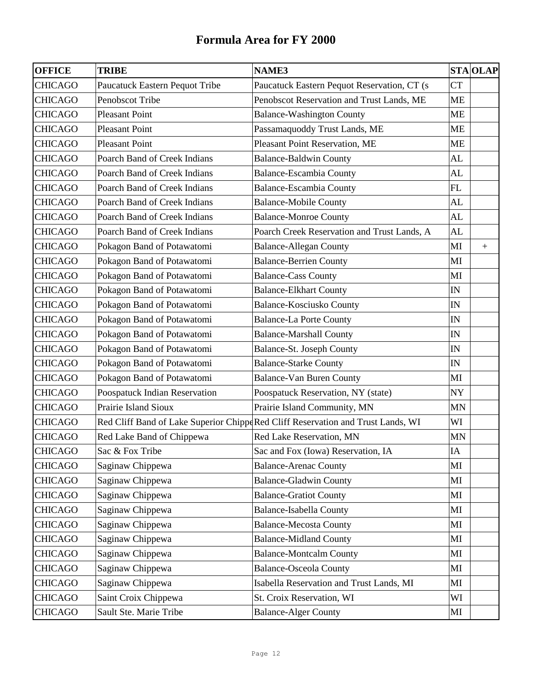| <b>OFFICE</b>  | <b>TRIBE</b>                   | <b>NAME3</b>                                                                     |           | <b>STA OLAP</b> |
|----------------|--------------------------------|----------------------------------------------------------------------------------|-----------|-----------------|
| <b>CHICAGO</b> | Paucatuck Eastern Pequot Tribe | Paucatuck Eastern Pequot Reservation, CT (s                                      | <b>CT</b> |                 |
| <b>CHICAGO</b> | Penobscot Tribe                | Penobscot Reservation and Trust Lands, ME                                        | ME        |                 |
| <b>CHICAGO</b> | <b>Pleasant Point</b>          | <b>Balance-Washington County</b>                                                 | ME        |                 |
| <b>CHICAGO</b> | <b>Pleasant Point</b>          | Passamaquoddy Trust Lands, ME                                                    | <b>ME</b> |                 |
| <b>CHICAGO</b> | <b>Pleasant Point</b>          | Pleasant Point Reservation, ME                                                   | <b>ME</b> |                 |
| <b>CHICAGO</b> | Poarch Band of Creek Indians   | <b>Balance-Baldwin County</b>                                                    | AL        |                 |
| <b>CHICAGO</b> | Poarch Band of Creek Indians   | <b>Balance-Escambia County</b>                                                   | AL        |                 |
| <b>CHICAGO</b> | Poarch Band of Creek Indians   | <b>Balance-Escambia County</b>                                                   | FL        |                 |
| <b>CHICAGO</b> | Poarch Band of Creek Indians   | <b>Balance-Mobile County</b>                                                     | AL        |                 |
| <b>CHICAGO</b> | Poarch Band of Creek Indians   | <b>Balance-Monroe County</b>                                                     | AL        |                 |
| <b>CHICAGO</b> | Poarch Band of Creek Indians   | Poarch Creek Reservation and Trust Lands, A                                      | <b>AL</b> |                 |
| <b>CHICAGO</b> | Pokagon Band of Potawatomi     | <b>Balance-Allegan County</b>                                                    | MI        | $+$             |
| <b>CHICAGO</b> | Pokagon Band of Potawatomi     | <b>Balance-Berrien County</b>                                                    | MI        |                 |
| <b>CHICAGO</b> | Pokagon Band of Potawatomi     | <b>Balance-Cass County</b>                                                       | MI        |                 |
| <b>CHICAGO</b> | Pokagon Band of Potawatomi     | <b>Balance-Elkhart County</b>                                                    | IN        |                 |
| <b>CHICAGO</b> | Pokagon Band of Potawatomi     | <b>Balance-Kosciusko County</b>                                                  | IN        |                 |
| <b>CHICAGO</b> | Pokagon Band of Potawatomi     | <b>Balance-La Porte County</b>                                                   | IN        |                 |
| <b>CHICAGO</b> | Pokagon Band of Potawatomi     | <b>Balance-Marshall County</b>                                                   | IN        |                 |
| <b>CHICAGO</b> | Pokagon Band of Potawatomi     | Balance-St. Joseph County                                                        | IN        |                 |
| <b>CHICAGO</b> | Pokagon Band of Potawatomi     | <b>Balance-Starke County</b>                                                     | IN        |                 |
| <b>CHICAGO</b> | Pokagon Band of Potawatomi     | <b>Balance-Van Buren County</b>                                                  | MI        |                 |
| <b>CHICAGO</b> | Poospatuck Indian Reservation  | Poospatuck Reservation, NY (state)                                               | NY        |                 |
| <b>CHICAGO</b> | Prairie Island Sioux           | Prairie Island Community, MN                                                     | MN        |                 |
| <b>CHICAGO</b> |                                | Red Cliff Band of Lake Superior Chippe Red Cliff Reservation and Trust Lands, WI | WI        |                 |
| <b>CHICAGO</b> | Red Lake Band of Chippewa      | Red Lake Reservation, MN                                                         | MN        |                 |
| <b>CHICAGO</b> | Sac & Fox Tribe                | Sac and Fox (Iowa) Reservation, IA                                               | $\rm IA$  |                 |
| <b>CHICAGO</b> | Saginaw Chippewa               | <b>Balance-Arenac County</b>                                                     | MI        |                 |
| <b>CHICAGO</b> | Saginaw Chippewa               | <b>Balance-Gladwin County</b>                                                    | MI        |                 |
| <b>CHICAGO</b> | Saginaw Chippewa               | <b>Balance-Gratiot County</b>                                                    | MI        |                 |
| <b>CHICAGO</b> | Saginaw Chippewa               | <b>Balance-Isabella County</b>                                                   | MI        |                 |
| <b>CHICAGO</b> | Saginaw Chippewa               | <b>Balance-Mecosta County</b>                                                    | MI        |                 |
| <b>CHICAGO</b> | Saginaw Chippewa               | <b>Balance-Midland County</b>                                                    | MI        |                 |
| <b>CHICAGO</b> | Saginaw Chippewa               | <b>Balance-Montcalm County</b>                                                   | MI        |                 |
| <b>CHICAGO</b> | Saginaw Chippewa               | <b>Balance-Osceola County</b>                                                    | MI        |                 |
| <b>CHICAGO</b> | Saginaw Chippewa               | Isabella Reservation and Trust Lands, MI                                         | MI        |                 |
| <b>CHICAGO</b> | Saint Croix Chippewa           | St. Croix Reservation, WI                                                        | WI        |                 |
| <b>CHICAGO</b> | Sault Ste. Marie Tribe         | <b>Balance-Alger County</b>                                                      | MI        |                 |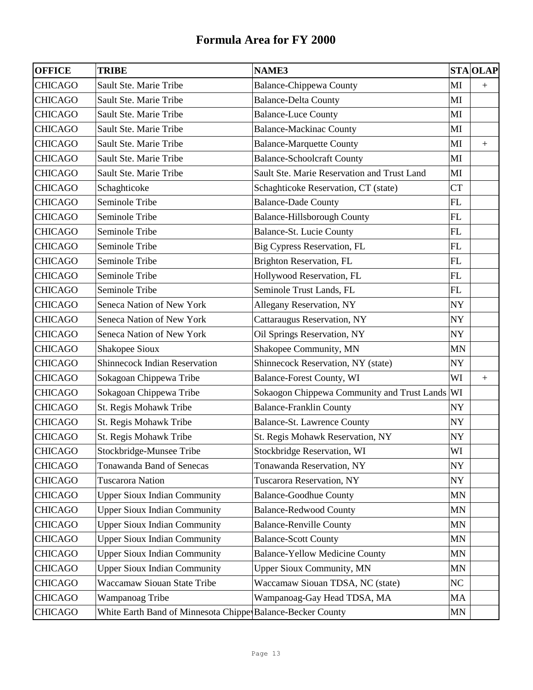| <b>OFFICE</b>  | <b>TRIBE</b>                                               | <b>NAME3</b>                                |           | <b>STA OLAP</b> |
|----------------|------------------------------------------------------------|---------------------------------------------|-----------|-----------------|
| <b>CHICAGO</b> | Sault Ste. Marie Tribe                                     | <b>Balance-Chippewa County</b>              | MI        | $+$             |
| <b>CHICAGO</b> | Sault Ste. Marie Tribe                                     | <b>Balance-Delta County</b>                 | MI        |                 |
| <b>CHICAGO</b> | Sault Ste. Marie Tribe                                     | <b>Balance-Luce County</b>                  | MI        |                 |
| <b>CHICAGO</b> | Sault Ste. Marie Tribe                                     | <b>Balance-Mackinac County</b>              | MI        |                 |
| <b>CHICAGO</b> | Sault Ste. Marie Tribe                                     | <b>Balance-Marquette County</b>             | MI        | $\pm$           |
| <b>CHICAGO</b> | Sault Ste. Marie Tribe                                     | <b>Balance-Schoolcraft County</b>           | MI        |                 |
| <b>CHICAGO</b> | Sault Ste. Marie Tribe                                     | Sault Ste. Marie Reservation and Trust Land | MI        |                 |
| <b>CHICAGO</b> | Schaghticoke                                               | Schaghticoke Reservation, CT (state)        | <b>CT</b> |                 |
| <b>CHICAGO</b> | Seminole Tribe                                             | <b>Balance-Dade County</b>                  | FL        |                 |
| <b>CHICAGO</b> | Seminole Tribe                                             | <b>Balance-Hillsborough County</b>          | FL        |                 |
| <b>CHICAGO</b> | Seminole Tribe                                             | Balance-St. Lucie County                    | FL        |                 |
| <b>CHICAGO</b> | Seminole Tribe                                             | Big Cypress Reservation, FL                 | FL        |                 |
| <b>CHICAGO</b> | Seminole Tribe                                             | Brighton Reservation, FL                    | FL        |                 |
| <b>CHICAGO</b> | Seminole Tribe                                             | Hollywood Reservation, FL                   | FL        |                 |
| <b>CHICAGO</b> | Seminole Tribe                                             | Seminole Trust Lands, FL                    | FL        |                 |
| <b>CHICAGO</b> | Seneca Nation of New York                                  | Allegany Reservation, NY                    | NY        |                 |
| <b>CHICAGO</b> | Seneca Nation of New York                                  | Cattaraugus Reservation, NY                 | NY        |                 |
| <b>CHICAGO</b> | Seneca Nation of New York                                  | Oil Springs Reservation, NY                 | NY        |                 |
| <b>CHICAGO</b> | Shakopee Sioux                                             | Shakopee Community, MN                      | MN        |                 |
| <b>CHICAGO</b> | <b>Shinnecock Indian Reservation</b>                       | Shinnecock Reservation, NY (state)          | NY        |                 |
| <b>CHICAGO</b> | Sokagoan Chippewa Tribe                                    | <b>Balance-Forest County, WI</b>            | WI        | $+$             |
| <b>CHICAGO</b> | Sokagoan Chippewa Tribe                                    | Sokaogon Chippewa Community and Trust Lands | WI        |                 |
| <b>CHICAGO</b> | St. Regis Mohawk Tribe                                     | <b>Balance-Franklin County</b>              | NY        |                 |
| <b>CHICAGO</b> | St. Regis Mohawk Tribe                                     | Balance-St. Lawrence County                 | NY        |                 |
| <b>CHICAGO</b> | St. Regis Mohawk Tribe                                     | St. Regis Mohawk Reservation, NY            | NY        |                 |
| <b>CHICAGO</b> | Stockbridge-Munsee Tribe                                   | Stockbridge Reservation, WI                 | WI        |                 |
| <b>CHICAGO</b> | Tonawanda Band of Senecas                                  | Tonawanda Reservation, NY                   | NY        |                 |
| <b>CHICAGO</b> | <b>Tuscarora Nation</b>                                    | <b>Tuscarora Reservation, NY</b>            | NY        |                 |
| <b>CHICAGO</b> | <b>Upper Sioux Indian Community</b>                        | <b>Balance-Goodhue County</b>               | <b>MN</b> |                 |
| <b>CHICAGO</b> | <b>Upper Sioux Indian Community</b>                        | <b>Balance-Redwood County</b>               | <b>MN</b> |                 |
| <b>CHICAGO</b> | <b>Upper Sioux Indian Community</b>                        | <b>Balance-Renville County</b>              | MN        |                 |
| <b>CHICAGO</b> | <b>Upper Sioux Indian Community</b>                        | <b>Balance-Scott County</b>                 | MN        |                 |
| <b>CHICAGO</b> | <b>Upper Sioux Indian Community</b>                        | <b>Balance-Yellow Medicine County</b>       | <b>MN</b> |                 |
| CHICAGO        | <b>Upper Sioux Indian Community</b>                        | <b>Upper Sioux Community, MN</b>            | MN        |                 |
| <b>CHICAGO</b> | <b>Waccamaw Siouan State Tribe</b>                         | Waccamaw Siouan TDSA, NC (state)            | NC        |                 |
| <b>CHICAGO</b> | Wampanoag Tribe                                            | Wampanoag-Gay Head TDSA, MA                 | MA        |                 |
| <b>CHICAGO</b> | White Earth Band of Minnesota Chippe Balance-Becker County |                                             | MN        |                 |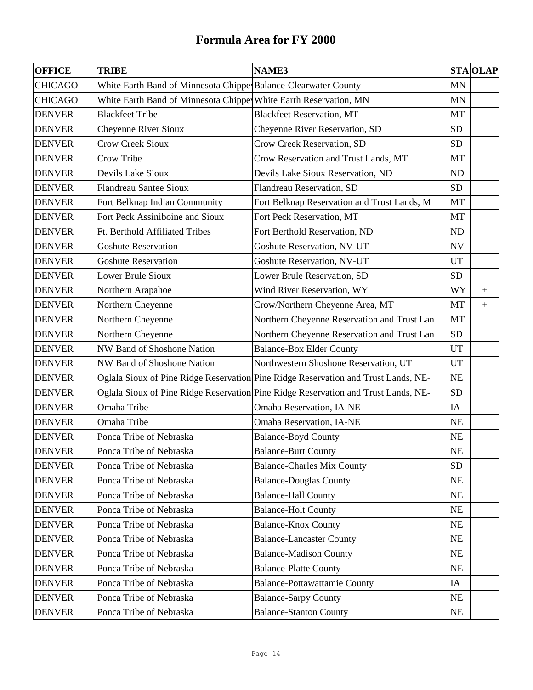| <b>OFFICE</b>  | <b>TRIBE</b>                                                     | <b>NAME3</b>                                                                       |           | <b>STA OLAP</b>  |
|----------------|------------------------------------------------------------------|------------------------------------------------------------------------------------|-----------|------------------|
| <b>CHICAGO</b> | White Earth Band of Minnesota Chippe Balance-Clearwater County   |                                                                                    | <b>MN</b> |                  |
| <b>CHICAGO</b> | White Earth Band of Minnesota Chippe White Earth Reservation, MN |                                                                                    | MN        |                  |
| <b>DENVER</b>  | <b>Blackfeet Tribe</b>                                           | <b>Blackfeet Reservation, MT</b>                                                   | <b>MT</b> |                  |
| <b>DENVER</b>  | Cheyenne River Sioux                                             | Cheyenne River Reservation, SD                                                     | <b>SD</b> |                  |
| <b>DENVER</b>  | <b>Crow Creek Sioux</b>                                          | Crow Creek Reservation, SD                                                         | <b>SD</b> |                  |
| <b>DENVER</b>  | Crow Tribe                                                       | Crow Reservation and Trust Lands, MT                                               | MT        |                  |
| <b>DENVER</b>  | Devils Lake Sioux                                                | Devils Lake Sioux Reservation, ND                                                  | ND        |                  |
| <b>DENVER</b>  | <b>Flandreau Santee Sioux</b>                                    | Flandreau Reservation, SD                                                          | <b>SD</b> |                  |
| <b>DENVER</b>  | Fort Belknap Indian Community                                    | Fort Belknap Reservation and Trust Lands, M                                        | <b>MT</b> |                  |
| <b>DENVER</b>  | Fort Peck Assiniboine and Sioux                                  | Fort Peck Reservation, MT                                                          | MT        |                  |
| <b>DENVER</b>  | Ft. Berthold Affiliated Tribes                                   | Fort Berthold Reservation, ND                                                      | ND        |                  |
| <b>DENVER</b>  | <b>Goshute Reservation</b>                                       | <b>Goshute Reservation, NV-UT</b>                                                  | <b>NV</b> |                  |
| <b>DENVER</b>  | <b>Goshute Reservation</b>                                       | Goshute Reservation, NV-UT                                                         | <b>UT</b> |                  |
| <b>DENVER</b>  | <b>Lower Brule Sioux</b>                                         | Lower Brule Reservation, SD                                                        | <b>SD</b> |                  |
| <b>DENVER</b>  | Northern Arapahoe                                                | Wind River Reservation, WY                                                         | WY        | $\boldsymbol{+}$ |
| <b>DENVER</b>  | Northern Cheyenne                                                | Crow/Northern Cheyenne Area, MT                                                    | MT        | $+$              |
| <b>DENVER</b>  | Northern Cheyenne                                                | Northern Cheyenne Reservation and Trust Lan                                        | <b>MT</b> |                  |
| <b>DENVER</b>  | Northern Cheyenne                                                | Northern Cheyenne Reservation and Trust Lan                                        | <b>SD</b> |                  |
| <b>DENVER</b>  | NW Band of Shoshone Nation                                       | <b>Balance-Box Elder County</b>                                                    | <b>UT</b> |                  |
| <b>DENVER</b>  | NW Band of Shoshone Nation                                       | Northwestern Shoshone Reservation, UT                                              | UT        |                  |
| <b>DENVER</b>  |                                                                  | Oglala Sioux of Pine Ridge Reservation Pine Ridge Reservation and Trust Lands, NE- | <b>NE</b> |                  |
| <b>DENVER</b>  |                                                                  | Oglala Sioux of Pine Ridge Reservation Pine Ridge Reservation and Trust Lands, NE- | <b>SD</b> |                  |
| <b>DENVER</b>  | Omaha Tribe                                                      | Omaha Reservation, IA-NE                                                           | IA        |                  |
| <b>DENVER</b>  | Omaha Tribe                                                      | Omaha Reservation, IA-NE                                                           | NE        |                  |
| <b>DENVER</b>  | Ponca Tribe of Nebraska                                          | <b>Balance-Boyd County</b>                                                         | NE        |                  |
| <b>DENVER</b>  | Ponca Tribe of Nebraska                                          | <b>Balance-Burt County</b>                                                         | $\rm NE$  |                  |
| <b>DENVER</b>  | Ponca Tribe of Nebraska                                          | <b>Balance-Charles Mix County</b>                                                  | <b>SD</b> |                  |
| <b>DENVER</b>  | Ponca Tribe of Nebraska                                          | <b>Balance-Douglas County</b>                                                      | NE        |                  |
| <b>DENVER</b>  | Ponca Tribe of Nebraska                                          | <b>Balance-Hall County</b>                                                         | <b>NE</b> |                  |
| <b>DENVER</b>  | Ponca Tribe of Nebraska                                          | <b>Balance-Holt County</b>                                                         | NE        |                  |
| <b>DENVER</b>  | Ponca Tribe of Nebraska                                          | <b>Balance-Knox County</b>                                                         | NE        |                  |
| <b>DENVER</b>  | Ponca Tribe of Nebraska                                          | <b>Balance-Lancaster County</b>                                                    | NE        |                  |
| <b>DENVER</b>  | Ponca Tribe of Nebraska                                          | <b>Balance-Madison County</b>                                                      | <b>NE</b> |                  |
| <b>DENVER</b>  | Ponca Tribe of Nebraska                                          | <b>Balance-Platte County</b>                                                       | NE        |                  |
| <b>DENVER</b>  | Ponca Tribe of Nebraska                                          | <b>Balance-Pottawattamie County</b>                                                | IA        |                  |
| <b>DENVER</b>  | Ponca Tribe of Nebraska                                          | <b>Balance-Sarpy County</b>                                                        | NE        |                  |
| <b>DENVER</b>  | Ponca Tribe of Nebraska                                          | <b>Balance-Stanton County</b>                                                      | NE        |                  |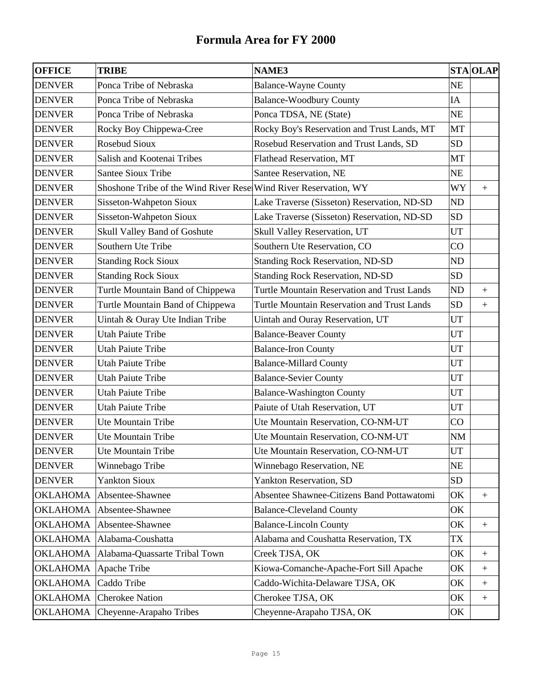| <b>OFFICE</b>   | <b>TRIBE</b>                                                     | <b>NAME3</b>                                       |                            | <b>STA OLAP</b>  |
|-----------------|------------------------------------------------------------------|----------------------------------------------------|----------------------------|------------------|
| <b>DENVER</b>   | Ponca Tribe of Nebraska                                          | <b>Balance-Wayne County</b>                        | <b>NE</b>                  |                  |
| <b>DENVER</b>   | Ponca Tribe of Nebraska                                          | <b>Balance-Woodbury County</b>                     | IA                         |                  |
| <b>DENVER</b>   | Ponca Tribe of Nebraska                                          | Ponca TDSA, NE (State)                             | <b>NE</b>                  |                  |
| <b>DENVER</b>   | Rocky Boy Chippewa-Cree                                          | Rocky Boy's Reservation and Trust Lands, MT        | <b>MT</b>                  |                  |
| <b>DENVER</b>   | <b>Rosebud Sioux</b>                                             | Rosebud Reservation and Trust Lands, SD            | <b>SD</b>                  |                  |
| <b>DENVER</b>   | Salish and Kootenai Tribes                                       | Flathead Reservation, MT                           | <b>MT</b>                  |                  |
| <b>DENVER</b>   | <b>Santee Sioux Tribe</b>                                        | Santee Reservation, NE                             | NE                         |                  |
| <b>DENVER</b>   | Shoshone Tribe of the Wind River Rese Wind River Reservation, WY |                                                    | <b>WY</b>                  | $+$              |
| <b>DENVER</b>   | Sisseton-Wahpeton Sioux                                          | Lake Traverse (Sisseton) Reservation, ND-SD        | <b>ND</b>                  |                  |
| <b>DENVER</b>   | Sisseton-Wahpeton Sioux                                          | Lake Traverse (Sisseton) Reservation, ND-SD        | <b>SD</b>                  |                  |
| <b>DENVER</b>   | Skull Valley Band of Goshute                                     | Skull Valley Reservation, UT                       | UT                         |                  |
| <b>DENVER</b>   | Southern Ute Tribe                                               | Southern Ute Reservation, CO                       | CO                         |                  |
| <b>DENVER</b>   | <b>Standing Rock Sioux</b>                                       | <b>Standing Rock Reservation, ND-SD</b>            | ND                         |                  |
| <b>DENVER</b>   | <b>Standing Rock Sioux</b>                                       | <b>Standing Rock Reservation, ND-SD</b>            | <b>SD</b>                  |                  |
| <b>DENVER</b>   | Turtle Mountain Band of Chippewa                                 | <b>Turtle Mountain Reservation and Trust Lands</b> | <b>ND</b>                  | $\boldsymbol{+}$ |
| <b>DENVER</b>   | Turtle Mountain Band of Chippewa                                 | Turtle Mountain Reservation and Trust Lands        | <b>SD</b>                  | $\boldsymbol{+}$ |
| <b>DENVER</b>   | Uintah & Ouray Ute Indian Tribe                                  | Uintah and Ouray Reservation, UT                   | <b>UT</b>                  |                  |
| <b>DENVER</b>   | <b>Utah Paiute Tribe</b>                                         | <b>Balance-Beaver County</b>                       | UT                         |                  |
| <b>DENVER</b>   | <b>Utah Paiute Tribe</b>                                         | <b>Balance-Iron County</b>                         | UT                         |                  |
| <b>DENVER</b>   | <b>Utah Paiute Tribe</b>                                         | <b>Balance-Millard County</b>                      | UT                         |                  |
| <b>DENVER</b>   | <b>Utah Paiute Tribe</b>                                         | <b>Balance-Sevier County</b>                       | UT                         |                  |
| <b>DENVER</b>   | <b>Utah Paiute Tribe</b>                                         | <b>Balance-Washington County</b>                   | <b>UT</b>                  |                  |
| <b>DENVER</b>   | <b>Utah Paiute Tribe</b>                                         | Paiute of Utah Reservation, UT                     | UT                         |                  |
| <b>DENVER</b>   | Ute Mountain Tribe                                               | Ute Mountain Reservation, CO-NM-UT                 | CO                         |                  |
| <b>DENVER</b>   | Ute Mountain Tribe                                               | Ute Mountain Reservation, CO-NM-UT                 | NM                         |                  |
| <b>DENVER</b>   | Ute Mountain Tribe                                               | Ute Mountain Reservation, CO-NM-UT                 | $\ensuremath{\mathrm{UT}}$ |                  |
| <b>DENVER</b>   | Winnebago Tribe                                                  | Winnebago Reservation, NE                          | <b>NE</b>                  |                  |
| <b>DENVER</b>   | <b>Yankton Sioux</b>                                             | Yankton Reservation, SD                            | <b>SD</b>                  |                  |
| <b>OKLAHOMA</b> | Absentee-Shawnee                                                 | Absentee Shawnee-Citizens Band Pottawatomi         | OK                         | $\boldsymbol{+}$ |
| <b>OKLAHOMA</b> | Absentee-Shawnee                                                 | <b>Balance-Cleveland County</b>                    | OK                         |                  |
| <b>OKLAHOMA</b> | Absentee-Shawnee                                                 | <b>Balance-Lincoln County</b>                      | OK                         | $+$              |
| <b>OKLAHOMA</b> | Alabama-Coushatta                                                | Alabama and Coushatta Reservation, TX              | TX                         |                  |
| <b>OKLAHOMA</b> | Alabama-Quassarte Tribal Town                                    | Creek TJSA, OK                                     | OK                         |                  |
| <b>OKLAHOMA</b> | Apache Tribe                                                     | Kiowa-Comanche-Apache-Fort Sill Apache             | OK                         | $\boldsymbol{+}$ |
| <b>OKLAHOMA</b> | Caddo Tribe                                                      | Caddo-Wichita-Delaware TJSA, OK                    | OK                         | $\pm$            |
| <b>OKLAHOMA</b> | <b>Cherokee Nation</b>                                           | Cherokee TJSA, OK                                  | OK                         | $\boldsymbol{+}$ |
| <b>OKLAHOMA</b> | Cheyenne-Arapaho Tribes                                          | Cheyenne-Arapaho TJSA, OK                          | OK                         |                  |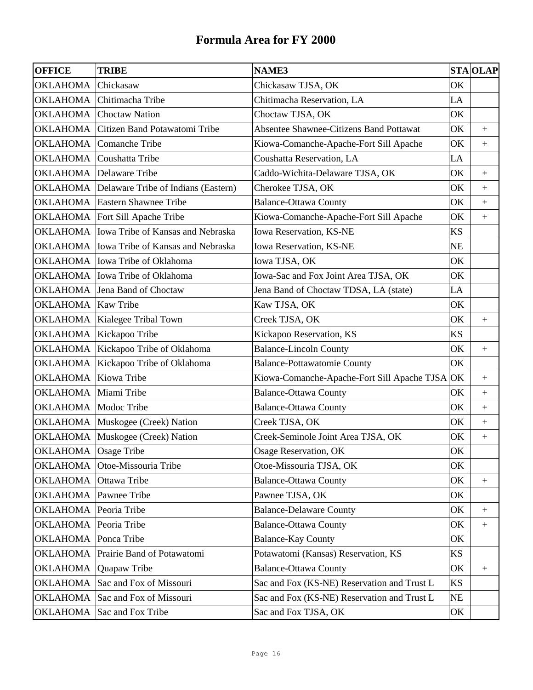| <b>OFFICE</b>        | <b>TRIBE</b>                                        | <b>NAME3</b>                                   |           | <b>STA OLAP</b>   |
|----------------------|-----------------------------------------------------|------------------------------------------------|-----------|-------------------|
| <b>OKLAHOMA</b>      | Chickasaw                                           | Chickasaw TJSA, OK                             | OK        |                   |
| <b>OKLAHOMA</b>      | Chitimacha Tribe                                    | Chitimacha Reservation, LA                     | LA        |                   |
| OKLAHOMA             | <b>Choctaw Nation</b>                               | Choctaw TJSA, OK                               | OK        |                   |
| OKLAHOMA             | Citizen Band Potawatomi Tribe                       | <b>Absentee Shawnee-Citizens Band Pottawat</b> | OK        | $\pm$             |
| OKLAHOMA             | Comanche Tribe                                      | Kiowa-Comanche-Apache-Fort Sill Apache         | OK        | $\boldsymbol{+}$  |
| OKLAHOMA             | Coushatta Tribe                                     | Coushatta Reservation, LA                      | LA        |                   |
| OKLAHOMA             | Delaware Tribe                                      | Caddo-Wichita-Delaware TJSA, OK                | OK        | $\boldsymbol{+}$  |
|                      | <b>OKLAHOMA</b> Delaware Tribe of Indians (Eastern) | Cherokee TJSA, OK                              | OK        | $+$               |
|                      | <b>OKLAHOMA</b> Eastern Shawnee Tribe               | <b>Balance-Ottawa County</b>                   | OK        | $\ddot{}$         |
|                      | OKLAHOMA   Fort Sill Apache Tribe                   | Kiowa-Comanche-Apache-Fort Sill Apache         | OK        | $\qquad \qquad +$ |
| OKLAHOMA             | Iowa Tribe of Kansas and Nebraska                   | Iowa Reservation, KS-NE                        | <b>KS</b> |                   |
| <b>OKLAHOMA</b>      | Iowa Tribe of Kansas and Nebraska                   | Iowa Reservation, KS-NE                        | <b>NE</b> |                   |
|                      | OKLAHOMA   Iowa Tribe of Oklahoma                   | Iowa TJSA, OK                                  | OK        |                   |
| OKLAHOMA             | Iowa Tribe of Oklahoma                              | Iowa-Sac and Fox Joint Area TJSA, OK           | OK        |                   |
| <b>OKLAHOMA</b>      | Jena Band of Choctaw                                | Jena Band of Choctaw TDSA, LA (state)          | LA        |                   |
| OKLAHOMA             | Kaw Tribe                                           | Kaw TJSA, OK                                   | OK        |                   |
| OKLAHOMA             | Kialegee Tribal Town                                | Creek TJSA, OK                                 | OK        | $+$               |
| OKLAHOMA             | Kickapoo Tribe                                      | Kickapoo Reservation, KS                       | <b>KS</b> |                   |
| OKLAHOMA             | Kickapoo Tribe of Oklahoma                          | <b>Balance-Lincoln County</b>                  | OK        | $\boldsymbol{+}$  |
| <b>OKLAHOMA</b>      | Kickapoo Tribe of Oklahoma                          | <b>Balance-Pottawatomie County</b>             | OK        |                   |
| OKLAHOMA             | Kiowa Tribe                                         | Kiowa-Comanche-Apache-Fort Sill Apache TJSA OK |           | $\boldsymbol{+}$  |
| <b>OKLAHOMA</b>      | Miami Tribe                                         | <b>Balance-Ottawa County</b>                   | OK        | $\boldsymbol{+}$  |
| OKLAHOMA             | Modoc Tribe                                         | <b>Balance-Ottawa County</b>                   | OK        | $\boldsymbol{+}$  |
| OKLAHOMA             | Muskogee (Creek) Nation                             | Creek TJSA, OK                                 | OK        | $\qquad \qquad +$ |
| <b>OKLAHOMA</b>      | Muskogee (Creek) Nation                             | Creek-Seminole Joint Area TJSA, OK             | OK        | $\qquad \qquad +$ |
| OKLAHOMA Osage Tribe |                                                     | Osage Reservation, OK                          | OK        |                   |
| OKLAHOMA             | Otoe-Missouria Tribe                                | Otoe-Missouria TJSA, OK                        | OK        |                   |
| OKLAHOMA             | Ottawa Tribe                                        | <b>Balance-Ottawa County</b>                   | OK        | $\boldsymbol{+}$  |
| OKLAHOMA             | Pawnee Tribe                                        | Pawnee TJSA, OK                                | OK        |                   |
| OKLAHOMA             | Peoria Tribe                                        | <b>Balance-Delaware County</b>                 | OK        | $\boldsymbol{+}$  |
| OKLAHOMA             | Peoria Tribe                                        | <b>Balance-Ottawa County</b>                   | OK        | $\boldsymbol{+}$  |
| OKLAHOMA             | Ponca Tribe                                         | <b>Balance-Kay County</b>                      | OK        |                   |
| OKLAHOMA             | Prairie Band of Potawatomi                          | Potawatomi (Kansas) Reservation, KS            | <b>KS</b> |                   |
| OKLAHOMA             | Quapaw Tribe                                        | <b>Balance-Ottawa County</b>                   | OK        | $\boldsymbol{+}$  |
| OKLAHOMA             | Sac and Fox of Missouri                             | Sac and Fox (KS-NE) Reservation and Trust L    | <b>KS</b> |                   |
| <b>OKLAHOMA</b>      | Sac and Fox of Missouri                             | Sac and Fox (KS-NE) Reservation and Trust L    | <b>NE</b> |                   |
| OKLAHOMA             | Sac and Fox Tribe                                   | Sac and Fox TJSA, OK                           | OK        |                   |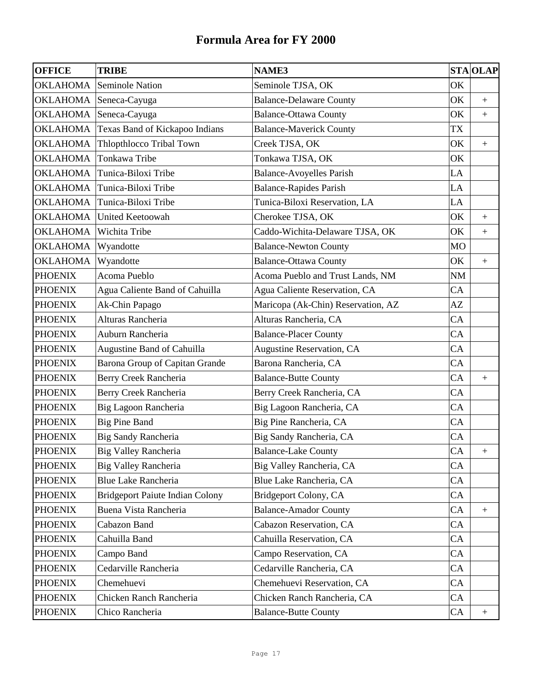| <b>OFFICE</b>   | <b>TRIBE</b>                           | <b>NAME3</b>                       |    | <b>STA OLAP</b>  |
|-----------------|----------------------------------------|------------------------------------|----|------------------|
| <b>OKLAHOMA</b> | Seminole Nation                        | Seminole TJSA, OK                  | OK |                  |
| <b>OKLAHOMA</b> | Seneca-Cayuga                          | <b>Balance-Delaware County</b>     | OK | $\pm$            |
|                 | OKLAHOMA Seneca-Cayuga                 | <b>Balance-Ottawa County</b>       | OK | $+$              |
| OKLAHOMA        | Texas Band of Kickapoo Indians         | <b>Balance-Maverick County</b>     | TX |                  |
| OKLAHOMA        | Thlopthlocco Tribal Town               | Creek TJSA, OK                     | OK |                  |
| <b>OKLAHOMA</b> | Tonkawa Tribe                          | Tonkawa TJSA, OK                   | OK |                  |
| <b>OKLAHOMA</b> | Tunica-Biloxi Tribe                    | <b>Balance-Avoyelles Parish</b>    | LA |                  |
| OKLAHOMA        | Tunica-Biloxi Tribe                    | <b>Balance-Rapides Parish</b>      | LA |                  |
| OKLAHOMA        | Tunica-Biloxi Tribe                    | Tunica-Biloxi Reservation, LA      | LA |                  |
| OKLAHOMA        | <b>United Keetoowah</b>                | Cherokee TJSA, OK                  | OK | $+$              |
| OKLAHOMA        | Wichita Tribe                          | Caddo-Wichita-Delaware TJSA, OK    | OK | $+$              |
| <b>OKLAHOMA</b> | Wyandotte                              | <b>Balance-Newton County</b>       | MO |                  |
| <b>OKLAHOMA</b> | Wyandotte                              | <b>Balance-Ottawa County</b>       | OK | $+$              |
| <b>PHOENIX</b>  | Acoma Pueblo                           | Acoma Pueblo and Trust Lands, NM   | NM |                  |
| <b>PHOENIX</b>  | Agua Caliente Band of Cahuilla         | Agua Caliente Reservation, CA      | CA |                  |
| <b>PHOENIX</b>  | Ak-Chin Papago                         | Maricopa (Ak-Chin) Reservation, AZ | AZ |                  |
| <b>PHOENIX</b>  | Alturas Rancheria                      | Alturas Rancheria, CA              | CA |                  |
| <b>PHOENIX</b>  | Auburn Rancheria                       | <b>Balance-Placer County</b>       | CA |                  |
| <b>PHOENIX</b>  | Augustine Band of Cahuilla             | Augustine Reservation, CA          | CA |                  |
| <b>PHOENIX</b>  | Barona Group of Capitan Grande         | Barona Rancheria, CA               | CA |                  |
| <b>PHOENIX</b>  | Berry Creek Rancheria                  | <b>Balance-Butte County</b>        | CA | $\pm$            |
| <b>PHOENIX</b>  | Berry Creek Rancheria                  | Berry Creek Rancheria, CA          | CA |                  |
| <b>PHOENIX</b>  | Big Lagoon Rancheria                   | Big Lagoon Rancheria, CA           | CA |                  |
| <b>PHOENIX</b>  | <b>Big Pine Band</b>                   | Big Pine Rancheria, CA             | CA |                  |
| <b>PHOENIX</b>  | <b>Big Sandy Rancheria</b>             | Big Sandy Rancheria, CA            | CA |                  |
| <b>PHOENIX</b>  | <b>Big Valley Rancheria</b>            | <b>Balance-Lake County</b>         | CA |                  |
| <b>PHOENIX</b>  | Big Valley Rancheria                   | Big Valley Rancheria, CA           | CA |                  |
| <b>PHOENIX</b>  | <b>Blue Lake Rancheria</b>             | Blue Lake Rancheria, CA            | CA |                  |
| <b>PHOENIX</b>  | <b>Bridgeport Paiute Indian Colony</b> | Bridgeport Colony, CA              | CA |                  |
| <b>PHOENIX</b>  | Buena Vista Rancheria                  | <b>Balance-Amador County</b>       | CA | $\boldsymbol{+}$ |
| <b>PHOENIX</b>  | Cabazon Band                           | Cabazon Reservation, CA            | CA |                  |
| <b>PHOENIX</b>  | Cahuilla Band                          | Cahuilla Reservation, CA           | CA |                  |
| <b>PHOENIX</b>  | Campo Band                             | Campo Reservation, CA              | CA |                  |
| <b>PHOENIX</b>  | Cedarville Rancheria                   | Cedarville Rancheria, CA           | CA |                  |
| <b>PHOENIX</b>  | Chemehuevi                             | Chemehuevi Reservation, CA         | CA |                  |
| <b>PHOENIX</b>  | Chicken Ranch Rancheria                | Chicken Ranch Rancheria, CA        | CA |                  |
| <b>PHOENIX</b>  | Chico Rancheria                        | <b>Balance-Butte County</b>        | CA | $\boldsymbol{+}$ |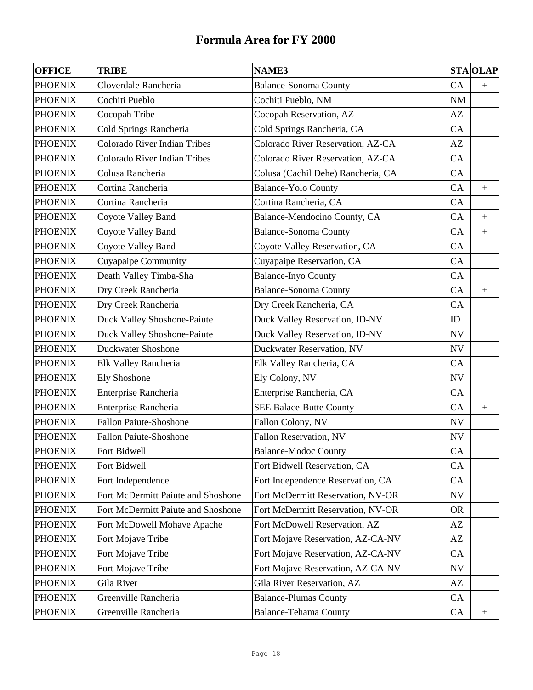| <b>OFFICE</b>  | <b>TRIBE</b>                        | <b>NAME3</b>                       |           | <b>STA OLAP</b>  |
|----------------|-------------------------------------|------------------------------------|-----------|------------------|
| <b>PHOENIX</b> | Cloverdale Rancheria                | <b>Balance-Sonoma County</b>       | CA        | $+$              |
| <b>PHOENIX</b> | Cochiti Pueblo                      | Cochiti Pueblo, NM                 | NM        |                  |
| <b>PHOENIX</b> | Cocopah Tribe                       | Cocopah Reservation, AZ            | AZ        |                  |
| <b>PHOENIX</b> | Cold Springs Rancheria              | Cold Springs Rancheria, CA         | CA        |                  |
| <b>PHOENIX</b> | <b>Colorado River Indian Tribes</b> | Colorado River Reservation, AZ-CA  | AZ        |                  |
| <b>PHOENIX</b> | Colorado River Indian Tribes        | Colorado River Reservation, AZ-CA  | CA        |                  |
| <b>PHOENIX</b> | Colusa Rancheria                    | Colusa (Cachil Dehe) Rancheria, CA | CA        |                  |
| <b>PHOENIX</b> | Cortina Rancheria                   | <b>Balance-Yolo County</b>         | CA        | $+$              |
| <b>PHOENIX</b> | Cortina Rancheria                   | Cortina Rancheria, CA              | CA        |                  |
| <b>PHOENIX</b> | Coyote Valley Band                  | Balance-Mendocino County, CA       | CA        | $+$              |
| <b>PHOENIX</b> | Coyote Valley Band                  | <b>Balance-Sonoma County</b>       | CA        | $\boldsymbol{+}$ |
| <b>PHOENIX</b> | <b>Coyote Valley Band</b>           | Coyote Valley Reservation, CA      | CA        |                  |
| <b>PHOENIX</b> | Cuyapaipe Community                 | Cuyapaipe Reservation, CA          | CA        |                  |
| <b>PHOENIX</b> | Death Valley Timba-Sha              | <b>Balance-Inyo County</b>         | CA        |                  |
| <b>PHOENIX</b> | Dry Creek Rancheria                 | <b>Balance-Sonoma County</b>       | CA        | $^{+}$           |
| <b>PHOENIX</b> | Dry Creek Rancheria                 | Dry Creek Rancheria, CA            | CA        |                  |
| <b>PHOENIX</b> | Duck Valley Shoshone-Paiute         | Duck Valley Reservation, ID-NV     | ID        |                  |
| <b>PHOENIX</b> | <b>Duck Valley Shoshone-Paiute</b>  | Duck Valley Reservation, ID-NV     | <b>NV</b> |                  |
| <b>PHOENIX</b> | <b>Duckwater Shoshone</b>           | Duckwater Reservation, NV          | <b>NV</b> |                  |
| <b>PHOENIX</b> | Elk Valley Rancheria                | Elk Valley Rancheria, CA           | CA        |                  |
| <b>PHOENIX</b> | <b>Ely Shoshone</b>                 | Ely Colony, NV                     | NV        |                  |
| <b>PHOENIX</b> | Enterprise Rancheria                | Enterprise Rancheria, CA           | CA        |                  |
| <b>PHOENIX</b> | Enterprise Rancheria                | <b>SEE Balace-Butte County</b>     | CA        | $+$              |
| <b>PHOENIX</b> | <b>Fallon Paiute-Shoshone</b>       | Fallon Colony, NV                  | <b>NV</b> |                  |
| <b>PHOENIX</b> | <b>Fallon Paiute-Shoshone</b>       | Fallon Reservation, NV             | NV        |                  |
| <b>PHOENIX</b> | Fort Bidwell                        | <b>Balance-Modoc County</b>        | CA        |                  |
| <b>PHOENIX</b> | Fort Bidwell                        | Fort Bidwell Reservation, CA       | CA        |                  |
| <b>PHOENIX</b> | Fort Independence                   | Fort Independence Reservation, CA  | CA        |                  |
| <b>PHOENIX</b> | Fort McDermitt Paiute and Shoshone  | Fort McDermitt Reservation, NV-OR  | NV        |                  |
| <b>PHOENIX</b> | Fort McDermitt Paiute and Shoshone  | Fort McDermitt Reservation, NV-OR  | <b>OR</b> |                  |
| <b>PHOENIX</b> | Fort McDowell Mohave Apache         | Fort McDowell Reservation, AZ      | AZ        |                  |
| <b>PHOENIX</b> | Fort Mojave Tribe                   | Fort Mojave Reservation, AZ-CA-NV  | AZ        |                  |
| <b>PHOENIX</b> | Fort Mojave Tribe                   | Fort Mojave Reservation, AZ-CA-NV  | CA        |                  |
| <b>PHOENIX</b> | Fort Mojave Tribe                   | Fort Mojave Reservation, AZ-CA-NV  | NV        |                  |
| <b>PHOENIX</b> | Gila River                          | Gila River Reservation, AZ         | AZ        |                  |
| <b>PHOENIX</b> | Greenville Rancheria                | <b>Balance-Plumas County</b>       | CA        |                  |
| <b>PHOENIX</b> | Greenville Rancheria                | <b>Balance-Tehama County</b>       | CA        | $\boldsymbol{+}$ |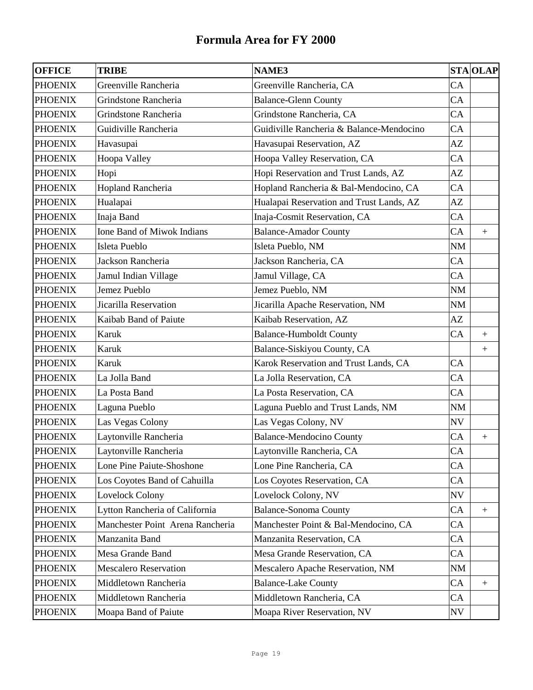| <b>OFFICE</b>  | <b>TRIBE</b>                     | <b>NAME3</b>                             |           | <b>STA OLAP</b>  |
|----------------|----------------------------------|------------------------------------------|-----------|------------------|
| <b>PHOENIX</b> | Greenville Rancheria             | Greenville Rancheria, CA                 | CA        |                  |
| <b>PHOENIX</b> | Grindstone Rancheria             | <b>Balance-Glenn County</b>              | CA        |                  |
| <b>PHOENIX</b> | Grindstone Rancheria             | Grindstone Rancheria, CA                 | CA        |                  |
| <b>PHOENIX</b> | Guidiville Rancheria             | Guidiville Rancheria & Balance-Mendocino | CA        |                  |
| <b>PHOENIX</b> | Havasupai                        | Havasupai Reservation, AZ                | AZ        |                  |
| <b>PHOENIX</b> | Hoopa Valley                     | Hoopa Valley Reservation, CA             | CA        |                  |
| <b>PHOENIX</b> | Hopi                             | Hopi Reservation and Trust Lands, AZ     | AZ        |                  |
| <b>PHOENIX</b> | Hopland Rancheria                | Hopland Rancheria & Bal-Mendocino, CA    | CA        |                  |
| <b>PHOENIX</b> | Hualapai                         | Hualapai Reservation and Trust Lands, AZ | AZ        |                  |
| <b>PHOENIX</b> | Inaja Band                       | Inaja-Cosmit Reservation, CA             | CA        |                  |
| <b>PHOENIX</b> | Ione Band of Miwok Indians       | <b>Balance-Amador County</b>             | CA        | $+$              |
| <b>PHOENIX</b> | Isleta Pueblo                    | Isleta Pueblo, NM                        | NM        |                  |
| <b>PHOENIX</b> | Jackson Rancheria                | Jackson Rancheria, CA                    | CA        |                  |
| <b>PHOENIX</b> | Jamul Indian Village             | Jamul Village, CA                        | CA        |                  |
| <b>PHOENIX</b> | Jemez Pueblo                     | Jemez Pueblo, NM                         | NM        |                  |
| <b>PHOENIX</b> | Jicarilla Reservation            | Jicarilla Apache Reservation, NM         | NM        |                  |
| <b>PHOENIX</b> | Kaibab Band of Paiute            | Kaibab Reservation, AZ                   | AZ        |                  |
| <b>PHOENIX</b> | Karuk                            | <b>Balance-Humboldt County</b>           | CA        | $^{+}$           |
| <b>PHOENIX</b> | Karuk                            | Balance-Siskiyou County, CA              |           | $+$              |
| <b>PHOENIX</b> | Karuk                            | Karok Reservation and Trust Lands, CA    | CA        |                  |
| <b>PHOENIX</b> | La Jolla Band                    | La Jolla Reservation, CA                 | CA        |                  |
| <b>PHOENIX</b> | La Posta Band                    | La Posta Reservation, CA                 | CA        |                  |
| <b>PHOENIX</b> | Laguna Pueblo                    | Laguna Pueblo and Trust Lands, NM        | NM        |                  |
| <b>PHOENIX</b> | Las Vegas Colony                 | Las Vegas Colony, NV                     | <b>NV</b> |                  |
| <b>PHOENIX</b> | Laytonville Rancheria            | <b>Balance-Mendocino County</b>          | CA        | $+$              |
| <b>PHOENIX</b> | Laytonville Rancheria            | Laytonville Rancheria, CA                | CA        |                  |
| <b>PHOENIX</b> | Lone Pine Paiute-Shoshone        | Lone Pine Rancheria, CA                  | CA        |                  |
| <b>PHOENIX</b> | Los Coyotes Band of Cahuilla     | Los Coyotes Reservation, CA              | CA        |                  |
| <b>PHOENIX</b> | Lovelock Colony                  | Lovelock Colony, NV                      | NV        |                  |
| <b>PHOENIX</b> | Lytton Rancheria of California   | <b>Balance-Sonoma County</b>             | CA        | $\boldsymbol{+}$ |
| <b>PHOENIX</b> | Manchester Point Arena Rancheria | Manchester Point & Bal-Mendocino, CA     | CA        |                  |
| <b>PHOENIX</b> | Manzanita Band                   | Manzanita Reservation, CA                | CA        |                  |
| <b>PHOENIX</b> | Mesa Grande Band                 | Mesa Grande Reservation, CA              | CA        |                  |
| <b>PHOENIX</b> | <b>Mescalero Reservation</b>     | Mescalero Apache Reservation, NM         | NM        |                  |
| <b>PHOENIX</b> | Middletown Rancheria             | <b>Balance-Lake County</b>               | CA        | $\boldsymbol{+}$ |
| <b>PHOENIX</b> | Middletown Rancheria             | Middletown Rancheria, CA                 | CA        |                  |
| <b>PHOENIX</b> | Moapa Band of Paiute             | Moapa River Reservation, NV              | NV        |                  |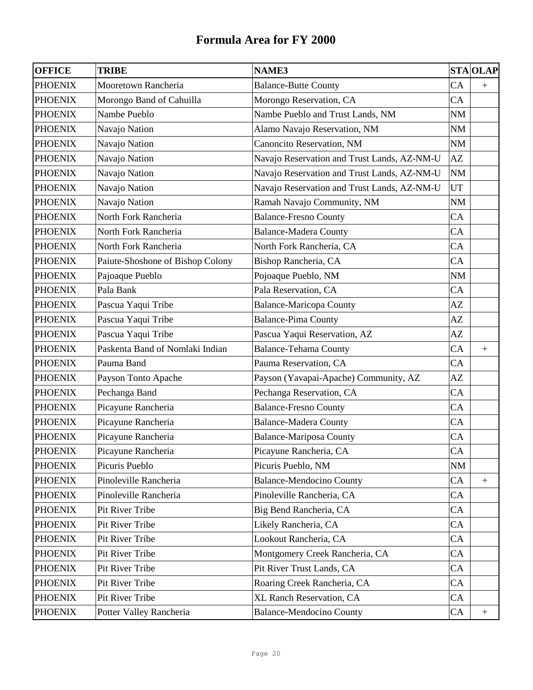| <b>OFFICE</b>  | <b>TRIBE</b>                     | <b>NAME3</b>                                |           | <b>STA OLAP</b>  |
|----------------|----------------------------------|---------------------------------------------|-----------|------------------|
| <b>PHOENIX</b> | Mooretown Rancheria              | <b>Balance-Butte County</b>                 | CA        |                  |
| <b>PHOENIX</b> | Morongo Band of Cahuilla         | Morongo Reservation, CA                     | CA        |                  |
| <b>PHOENIX</b> | Nambe Pueblo                     | Nambe Pueblo and Trust Lands, NM            | <b>NM</b> |                  |
| <b>PHOENIX</b> | Navajo Nation                    | Alamo Navajo Reservation, NM                | NM        |                  |
| <b>PHOENIX</b> | Navajo Nation                    | Canoncito Reservation, NM                   | NM        |                  |
| <b>PHOENIX</b> | Navajo Nation                    | Navajo Reservation and Trust Lands, AZ-NM-U | AZ        |                  |
| <b>PHOENIX</b> | Navajo Nation                    | Navajo Reservation and Trust Lands, AZ-NM-U | $\rm NM$  |                  |
| <b>PHOENIX</b> | Navajo Nation                    | Navajo Reservation and Trust Lands, AZ-NM-U | UT        |                  |
| <b>PHOENIX</b> | Navajo Nation                    | Ramah Navajo Community, NM                  | NM        |                  |
| <b>PHOENIX</b> | North Fork Rancheria             | <b>Balance-Fresno County</b>                | CA        |                  |
| <b>PHOENIX</b> | North Fork Rancheria             | <b>Balance-Madera County</b>                | CA        |                  |
| <b>PHOENIX</b> | North Fork Rancheria             | North Fork Rancheria, CA                    | CA        |                  |
| <b>PHOENIX</b> | Paiute-Shoshone of Bishop Colony | Bishop Rancheria, CA                        | CA        |                  |
| <b>PHOENIX</b> | Pajoaque Pueblo                  | Pojoaque Pueblo, NM                         | NM        |                  |
| <b>PHOENIX</b> | Pala Bank                        | Pala Reservation, CA                        | CA        |                  |
| <b>PHOENIX</b> | Pascua Yaqui Tribe               | <b>Balance-Maricopa County</b>              | AZ        |                  |
| <b>PHOENIX</b> | Pascua Yaqui Tribe               | <b>Balance-Pima County</b>                  | AZ        |                  |
| <b>PHOENIX</b> | Pascua Yaqui Tribe               | Pascua Yaqui Reservation, AZ                | AZ        |                  |
| <b>PHOENIX</b> | Paskenta Band of Nomlaki Indian  | <b>Balance-Tehama County</b>                | CA        | $^{+}$           |
| <b>PHOENIX</b> | Pauma Band                       | Pauma Reservation, CA                       | CA        |                  |
| <b>PHOENIX</b> | Payson Tonto Apache              | Payson (Yavapai-Apache) Community, AZ       | AZ        |                  |
| <b>PHOENIX</b> | Pechanga Band                    | Pechanga Reservation, CA                    | CA        |                  |
| <b>PHOENIX</b> | Picayune Rancheria               | <b>Balance-Fresno County</b>                | CA        |                  |
| <b>PHOENIX</b> | Picayune Rancheria               | <b>Balance-Madera County</b>                | CA        |                  |
| <b>PHOENIX</b> | Picayune Rancheria               | <b>Balance-Mariposa County</b>              | CA        |                  |
| <b>PHOENIX</b> | Picayune Rancheria               | Picayune Rancheria, CA                      | CA        |                  |
| <b>PHOENIX</b> | Picuris Pueblo                   | Picuris Pueblo, NM                          | NM        |                  |
| <b>PHOENIX</b> | Pinoleville Rancheria            | <b>Balance-Mendocino County</b>             | CA        | $+$              |
| <b>PHOENIX</b> | Pinoleville Rancheria            | Pinoleville Rancheria, CA                   | CA        |                  |
| <b>PHOENIX</b> | Pit River Tribe                  | Big Bend Rancheria, CA                      | CA        |                  |
| <b>PHOENIX</b> | Pit River Tribe                  | Likely Rancheria, CA                        | CA        |                  |
| <b>PHOENIX</b> | Pit River Tribe                  | Lookout Rancheria, CA                       | CA        |                  |
| <b>PHOENIX</b> | Pit River Tribe                  | Montgomery Creek Rancheria, CA              | CA        |                  |
| <b>PHOENIX</b> | Pit River Tribe                  | Pit River Trust Lands, CA                   | CA        |                  |
| <b>PHOENIX</b> | Pit River Tribe                  | Roaring Creek Rancheria, CA                 | CA        |                  |
| <b>PHOENIX</b> | Pit River Tribe                  | XL Ranch Reservation, CA                    | CA        |                  |
| <b>PHOENIX</b> | Potter Valley Rancheria          | <b>Balance-Mendocino County</b>             | CA        | $\boldsymbol{+}$ |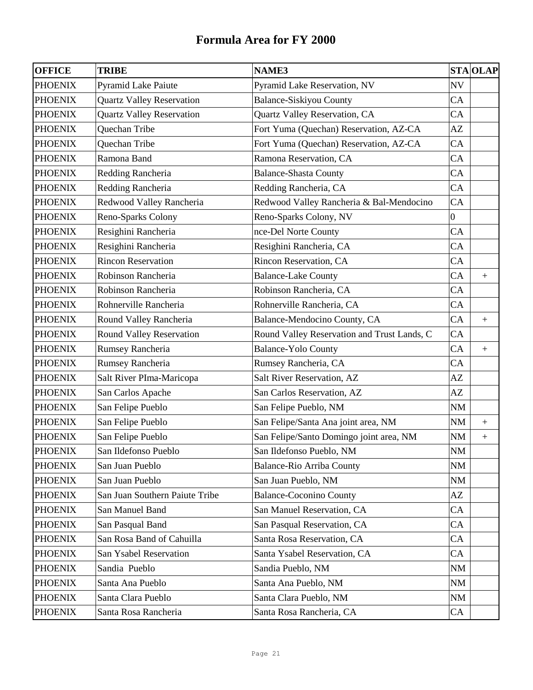| <b>OFFICE</b>  | <b>TRIBE</b>                     | <b>NAME3</b>                                |                | <b>STA OLAP</b>  |
|----------------|----------------------------------|---------------------------------------------|----------------|------------------|
| <b>PHOENIX</b> | <b>Pyramid Lake Paiute</b>       | Pyramid Lake Reservation, NV                | <b>NV</b>      |                  |
| <b>PHOENIX</b> | <b>Quartz Valley Reservation</b> | <b>Balance-Siskiyou County</b>              | CA             |                  |
| <b>PHOENIX</b> | <b>Quartz Valley Reservation</b> | Quartz Valley Reservation, CA               | CA             |                  |
| <b>PHOENIX</b> | Quechan Tribe                    | Fort Yuma (Quechan) Reservation, AZ-CA      | AZ             |                  |
| <b>PHOENIX</b> | Quechan Tribe                    | Fort Yuma (Quechan) Reservation, AZ-CA      | CA             |                  |
| <b>PHOENIX</b> | Ramona Band                      | Ramona Reservation, CA                      | CA             |                  |
| <b>PHOENIX</b> | Redding Rancheria                | <b>Balance-Shasta County</b>                | CA             |                  |
| <b>PHOENIX</b> | Redding Rancheria                | Redding Rancheria, CA                       | CA             |                  |
| <b>PHOENIX</b> | Redwood Valley Rancheria         | Redwood Valley Rancheria & Bal-Mendocino    | CA             |                  |
| <b>PHOENIX</b> | Reno-Sparks Colony               | Reno-Sparks Colony, NV                      | $\overline{0}$ |                  |
| <b>PHOENIX</b> | Resighini Rancheria              | nce-Del Norte County                        | CA             |                  |
| <b>PHOENIX</b> | Resighini Rancheria              | Resighini Rancheria, CA                     | CA             |                  |
| <b>PHOENIX</b> | <b>Rincon Reservation</b>        | Rincon Reservation, CA                      | CA             |                  |
| <b>PHOENIX</b> | Robinson Rancheria               | <b>Balance-Lake County</b>                  | CA             | $\boldsymbol{+}$ |
| <b>PHOENIX</b> | Robinson Rancheria               | Robinson Rancheria, CA                      | CA             |                  |
| <b>PHOENIX</b> | Rohnerville Rancheria            | Rohnerville Rancheria, CA                   | CA             |                  |
| <b>PHOENIX</b> | Round Valley Rancheria           | Balance-Mendocino County, CA                | CA             | $\pm$            |
| <b>PHOENIX</b> | Round Valley Reservation         | Round Valley Reservation and Trust Lands, C | CA             |                  |
| <b>PHOENIX</b> | Rumsey Rancheria                 | <b>Balance-Yolo County</b>                  | CA             | $\boldsymbol{+}$ |
| <b>PHOENIX</b> | Rumsey Rancheria                 | Rumsey Rancheria, CA                        | CA             |                  |
| <b>PHOENIX</b> | Salt River PIma-Maricopa         | Salt River Reservation, AZ                  | AZ             |                  |
| <b>PHOENIX</b> | San Carlos Apache                | San Carlos Reservation, AZ                  | AZ             |                  |
| <b>PHOENIX</b> | San Felipe Pueblo                | San Felipe Pueblo, NM                       | NM             |                  |
| <b>PHOENIX</b> | San Felipe Pueblo                | San Felipe/Santa Ana joint area, NM         | <b>NM</b>      | $\boldsymbol{+}$ |
| <b>PHOENIX</b> | San Felipe Pueblo                | San Felipe/Santo Domingo joint area, NM     | NM             | $\boldsymbol{+}$ |
| <b>PHOENIX</b> | San Ildefonso Pueblo             | San Ildefonso Pueblo, NM                    | NM             |                  |
| <b>PHOENIX</b> | San Juan Pueblo                  | <b>Balance-Rio Arriba County</b>            | <b>NM</b>      |                  |
| <b>PHOENIX</b> | San Juan Pueblo                  | San Juan Pueblo, NM                         | NM             |                  |
| <b>PHOENIX</b> | San Juan Southern Paiute Tribe   | <b>Balance-Coconino County</b>              | AZ             |                  |
| <b>PHOENIX</b> | San Manuel Band                  | San Manuel Reservation, CA                  | CA             |                  |
| <b>PHOENIX</b> | San Pasqual Band                 | San Pasqual Reservation, CA                 | CA             |                  |
| <b>PHOENIX</b> | San Rosa Band of Cahuilla        | Santa Rosa Reservation, CA                  | CA             |                  |
| <b>PHOENIX</b> | San Ysabel Reservation           | Santa Ysabel Reservation, CA                | CA             |                  |
| <b>PHOENIX</b> | Sandia Pueblo                    | Sandia Pueblo, NM                           | <b>NM</b>      |                  |
| <b>PHOENIX</b> | Santa Ana Pueblo                 | Santa Ana Pueblo, NM                        | NM             |                  |
| <b>PHOENIX</b> | Santa Clara Pueblo               | Santa Clara Pueblo, NM                      | NM             |                  |
| <b>PHOENIX</b> | Santa Rosa Rancheria             | Santa Rosa Rancheria, CA                    | CA             |                  |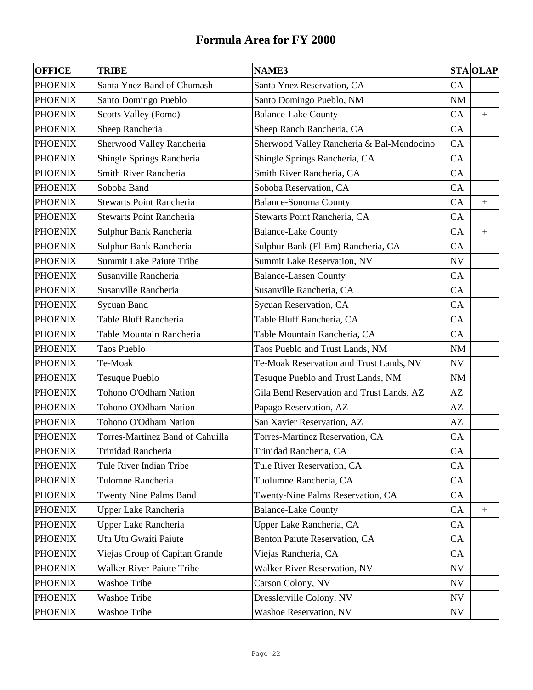| <b>OFFICE</b>  | <b>TRIBE</b>                     | <b>NAME3</b>                              |           | <b>STA OLAP</b>  |
|----------------|----------------------------------|-------------------------------------------|-----------|------------------|
| <b>PHOENIX</b> | Santa Ynez Band of Chumash       | Santa Ynez Reservation, CA                | CA        |                  |
| <b>PHOENIX</b> | Santo Domingo Pueblo             | Santo Domingo Pueblo, NM                  | <b>NM</b> |                  |
| <b>PHOENIX</b> | Scotts Valley (Pomo)             | <b>Balance-Lake County</b>                | CA        | $\boldsymbol{+}$ |
| <b>PHOENIX</b> | Sheep Rancheria                  | Sheep Ranch Rancheria, CA                 | CA        |                  |
| <b>PHOENIX</b> | Sherwood Valley Rancheria        | Sherwood Valley Rancheria & Bal-Mendocino | CA        |                  |
| <b>PHOENIX</b> | Shingle Springs Rancheria        | Shingle Springs Rancheria, CA             | CA        |                  |
| <b>PHOENIX</b> | Smith River Rancheria            | Smith River Rancheria, CA                 | CA        |                  |
| <b>PHOENIX</b> | Soboba Band                      | Soboba Reservation, CA                    | CA        |                  |
| <b>PHOENIX</b> | <b>Stewarts Point Rancheria</b>  | <b>Balance-Sonoma County</b>              | CA        | $+$              |
| <b>PHOENIX</b> | <b>Stewarts Point Rancheria</b>  | Stewarts Point Rancheria, CA              | CA        |                  |
| <b>PHOENIX</b> | Sulphur Bank Rancheria           | <b>Balance-Lake County</b>                | CA        | $\boldsymbol{+}$ |
| <b>PHOENIX</b> | Sulphur Bank Rancheria           | Sulphur Bank (El-Em) Rancheria, CA        | CA        |                  |
| <b>PHOENIX</b> | Summit Lake Paiute Tribe         | Summit Lake Reservation, NV               | <b>NV</b> |                  |
| <b>PHOENIX</b> | Susanville Rancheria             | <b>Balance-Lassen County</b>              | CA        |                  |
| <b>PHOENIX</b> | Susanville Rancheria             | Susanville Rancheria, CA                  | CA        |                  |
| <b>PHOENIX</b> | Sycuan Band                      | Sycuan Reservation, CA                    | CA        |                  |
| <b>PHOENIX</b> | Table Bluff Rancheria            | Table Bluff Rancheria, CA                 | CA        |                  |
| <b>PHOENIX</b> | Table Mountain Rancheria         | Table Mountain Rancheria, CA              | CA        |                  |
| <b>PHOENIX</b> | Taos Pueblo                      | Taos Pueblo and Trust Lands, NM           | NM        |                  |
| <b>PHOENIX</b> | Te-Moak                          | Te-Moak Reservation and Trust Lands, NV   | NV        |                  |
| <b>PHOENIX</b> | <b>Tesuque Pueblo</b>            | Tesuque Pueblo and Trust Lands, NM        | NM        |                  |
| <b>PHOENIX</b> | Tohono O'Odham Nation            | Gila Bend Reservation and Trust Lands, AZ | AZ        |                  |
| <b>PHOENIX</b> | Tohono O'Odham Nation            | Papago Reservation, AZ                    | AZ        |                  |
| <b>PHOENIX</b> | Tohono O'Odham Nation            | San Xavier Reservation, AZ                | AZ        |                  |
| <b>PHOENIX</b> | Torres-Martinez Band of Cahuilla | Torres-Martinez Reservation, CA           | CA        |                  |
| <b>PHOENIX</b> | Trinidad Rancheria               | Trinidad Rancheria, CA                    | CA        |                  |
| <b>PHOENIX</b> | Tule River Indian Tribe          | Tule River Reservation, CA                | CA        |                  |
| <b>PHOENIX</b> | Tulomne Rancheria                | Tuolumne Rancheria, CA                    | CA        |                  |
| <b>PHOENIX</b> | <b>Twenty Nine Palms Band</b>    | Twenty-Nine Palms Reservation, CA         | CA        |                  |
| <b>PHOENIX</b> | <b>Upper Lake Rancheria</b>      | <b>Balance-Lake County</b>                | CA        | $\boldsymbol{+}$ |
| <b>PHOENIX</b> | <b>Upper Lake Rancheria</b>      | Upper Lake Rancheria, CA                  | CA        |                  |
| <b>PHOENIX</b> | Utu Utu Gwaiti Paiute            | Benton Paiute Reservation, CA             | CA        |                  |
| <b>PHOENIX</b> | Viejas Group of Capitan Grande   | Viejas Rancheria, CA                      | CA        |                  |
| <b>PHOENIX</b> | <b>Walker River Paiute Tribe</b> | Walker River Reservation, NV              | NV        |                  |
| <b>PHOENIX</b> | <b>Washoe Tribe</b>              | Carson Colony, NV                         | NV        |                  |
| <b>PHOENIX</b> | <b>Washoe Tribe</b>              | Dresslerville Colony, NV                  | NV        |                  |
| <b>PHOENIX</b> | <b>Washoe Tribe</b>              | <b>Washoe Reservation, NV</b>             | NV        |                  |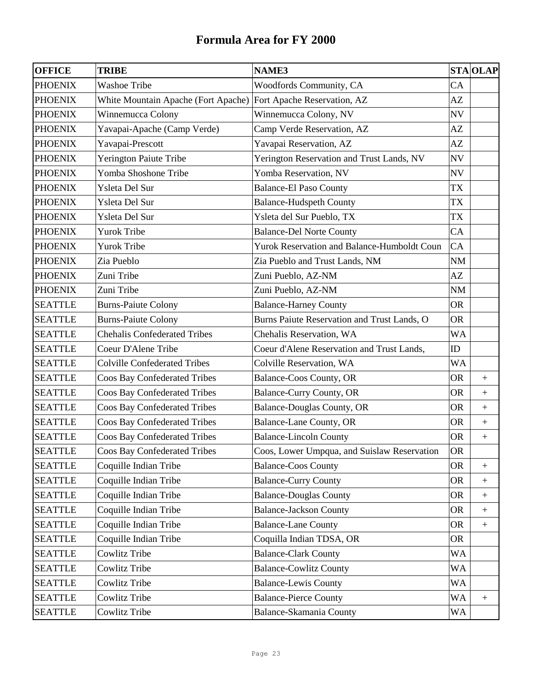| <b>OFFICE</b>  | <b>TRIBE</b>                        | <b>NAME3</b>                                |           | <b>STA OLAP</b>  |
|----------------|-------------------------------------|---------------------------------------------|-----------|------------------|
| <b>PHOENIX</b> | <b>Washoe Tribe</b>                 | Woodfords Community, CA                     | CA        |                  |
| <b>PHOENIX</b> | White Mountain Apache (Fort Apache) | Fort Apache Reservation, AZ                 | AZ        |                  |
| <b>PHOENIX</b> | Winnemucca Colony                   | Winnemucca Colony, NV                       | <b>NV</b> |                  |
| <b>PHOENIX</b> | Yavapai-Apache (Camp Verde)         | Camp Verde Reservation, AZ                  | AZ        |                  |
| <b>PHOENIX</b> | Yavapai-Prescott                    | Yavapai Reservation, AZ                     | AZ        |                  |
| <b>PHOENIX</b> | Yerington Paiute Tribe              | Yerington Reservation and Trust Lands, NV   | NV        |                  |
| <b>PHOENIX</b> | Yomba Shoshone Tribe                | Yomba Reservation, NV                       | <b>NV</b> |                  |
| <b>PHOENIX</b> | Ysleta Del Sur                      | <b>Balance-El Paso County</b>               | <b>TX</b> |                  |
| <b>PHOENIX</b> | Ysleta Del Sur                      | <b>Balance-Hudspeth County</b>              | TX        |                  |
| <b>PHOENIX</b> | Ysleta Del Sur                      | Ysleta del Sur Pueblo, TX                   | TX        |                  |
| <b>PHOENIX</b> | <b>Yurok Tribe</b>                  | <b>Balance-Del Norte County</b>             | CA        |                  |
| <b>PHOENIX</b> | <b>Yurok Tribe</b>                  | Yurok Reservation and Balance-Humboldt Coun | CA        |                  |
| <b>PHOENIX</b> | Zia Pueblo                          | Zia Pueblo and Trust Lands, NM              | <b>NM</b> |                  |
| <b>PHOENIX</b> | Zuni Tribe                          | Zuni Pueblo, AZ-NM                          | AZ        |                  |
| <b>PHOENIX</b> | Zuni Tribe                          | Zuni Pueblo, AZ-NM                          | NM        |                  |
| <b>SEATTLE</b> | <b>Burns-Paiute Colony</b>          | <b>Balance-Harney County</b>                | <b>OR</b> |                  |
| <b>SEATTLE</b> | <b>Burns-Paiute Colony</b>          | Burns Paiute Reservation and Trust Lands, O | <b>OR</b> |                  |
| <b>SEATTLE</b> | <b>Chehalis Confederated Tribes</b> | Chehalis Reservation, WA                    | <b>WA</b> |                  |
| <b>SEATTLE</b> | Coeur D'Alene Tribe                 | Coeur d'Alene Reservation and Trust Lands,  | ID        |                  |
| <b>SEATTLE</b> | <b>Colville Confederated Tribes</b> | Colville Reservation, WA                    | <b>WA</b> |                  |
| <b>SEATTLE</b> | Coos Bay Confederated Tribes        | Balance-Coos County, OR                     | <b>OR</b> | $+$              |
| <b>SEATTLE</b> | <b>Coos Bay Confederated Tribes</b> | Balance-Curry County, OR                    | <b>OR</b> | $\pm$            |
| <b>SEATTLE</b> | <b>Coos Bay Confederated Tribes</b> | <b>Balance-Douglas County, OR</b>           | <b>OR</b> |                  |
| <b>SEATTLE</b> | Coos Bay Confederated Tribes        | <b>Balance-Lane County, OR</b>              | <b>OR</b> | $^{+}$           |
| <b>SEATTLE</b> | <b>Coos Bay Confederated Tribes</b> | <b>Balance-Lincoln County</b>               | <b>OR</b> |                  |
| <b>SEATTLE</b> | <b>Coos Bay Confederated Tribes</b> | Coos, Lower Umpqua, and Suislaw Reservation | <b>OR</b> |                  |
| <b>SEATTLE</b> | Coquille Indian Tribe               | <b>Balance-Coos County</b>                  | <b>OR</b> | $\boldsymbol{+}$ |
| <b>SEATTLE</b> | Coquille Indian Tribe               | <b>Balance-Curry County</b>                 | <b>OR</b> | $\boldsymbol{+}$ |
| <b>SEATTLE</b> | Coquille Indian Tribe               | <b>Balance-Douglas County</b>               | <b>OR</b> | $^{+}$           |
| <b>SEATTLE</b> | Coquille Indian Tribe               | <b>Balance-Jackson County</b>               | <b>OR</b> | $\boldsymbol{+}$ |
| <b>SEATTLE</b> | Coquille Indian Tribe               | <b>Balance-Lane County</b>                  | <b>OR</b> | $\boldsymbol{+}$ |
| <b>SEATTLE</b> | Coquille Indian Tribe               | Coquilla Indian TDSA, OR                    | <b>OR</b> |                  |
| <b>SEATTLE</b> | Cowlitz Tribe                       | <b>Balance-Clark County</b>                 | <b>WA</b> |                  |
| <b>SEATTLE</b> | Cowlitz Tribe                       | <b>Balance-Cowlitz County</b>               | WA        |                  |
| <b>SEATTLE</b> | Cowlitz Tribe                       | <b>Balance-Lewis County</b>                 | WA        |                  |
| <b>SEATTLE</b> | Cowlitz Tribe                       | <b>Balance-Pierce County</b>                | WA        | $+$              |
| <b>SEATTLE</b> | Cowlitz Tribe                       | <b>Balance-Skamania County</b>              | WA        |                  |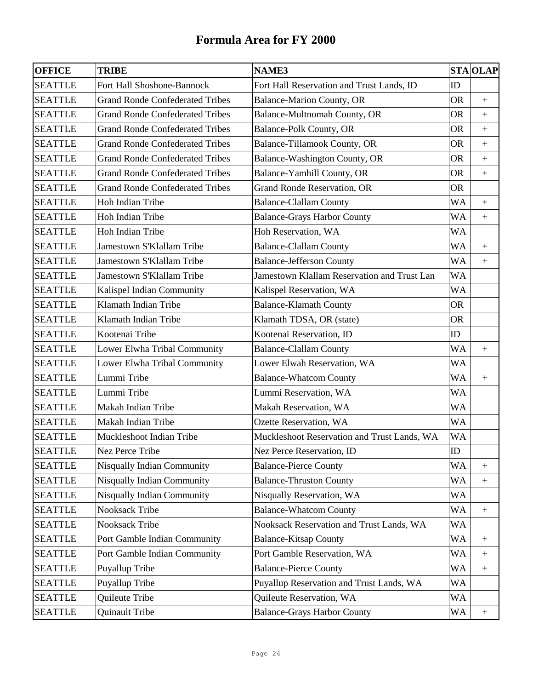| <b>OFFICE</b>  | <b>TRIBE</b>                           | <b>NAME3</b>                                |            | <b>STA OLAP</b>  |
|----------------|----------------------------------------|---------------------------------------------|------------|------------------|
| <b>SEATTLE</b> | Fort Hall Shoshone-Bannock             | Fort Hall Reservation and Trust Lands, ID   | ID         |                  |
| <b>SEATTLE</b> | <b>Grand Ronde Confederated Tribes</b> | Balance-Marion County, OR                   | <b>OR</b>  | $+$              |
| <b>SEATTLE</b> | <b>Grand Ronde Confederated Tribes</b> | Balance-Multnomah County, OR                | <b>OR</b>  | $\pm$            |
| <b>SEATTLE</b> | <b>Grand Ronde Confederated Tribes</b> | <b>Balance-Polk County, OR</b>              | <b>OR</b>  | $+$              |
| <b>SEATTLE</b> | <b>Grand Ronde Confederated Tribes</b> | Balance-Tillamook County, OR                | <b>OR</b>  | $\boldsymbol{+}$ |
| <b>SEATTLE</b> | <b>Grand Ronde Confederated Tribes</b> | Balance-Washington County, OR               | <b>OR</b>  | $+$              |
| <b>SEATTLE</b> | <b>Grand Ronde Confederated Tribes</b> | Balance-Yamhill County, OR                  | <b>OR</b>  | $+$              |
| <b>SEATTLE</b> | <b>Grand Ronde Confederated Tribes</b> | Grand Ronde Reservation, OR                 | <b>OR</b>  |                  |
| <b>SEATTLE</b> | Hoh Indian Tribe                       | <b>Balance-Clallam County</b>               | <b>WA</b>  | $\pm$            |
| <b>SEATTLE</b> | Hoh Indian Tribe                       | <b>Balance-Grays Harbor County</b>          | <b>WA</b>  | $\pm$            |
| <b>SEATTLE</b> | Hoh Indian Tribe                       | Hoh Reservation, WA                         | <b>WA</b>  |                  |
| <b>SEATTLE</b> | Jamestown S'Klallam Tribe              | <b>Balance-Clallam County</b>               | <b>WA</b>  | $+$              |
| <b>SEATTLE</b> | Jamestown S'Klallam Tribe              | <b>Balance-Jefferson County</b>             | <b>WA</b>  | $\pm$            |
| <b>SEATTLE</b> | Jamestown S'Klallam Tribe              | Jamestown Klallam Reservation and Trust Lan | <b>WA</b>  |                  |
| <b>SEATTLE</b> | Kalispel Indian Community              | Kalispel Reservation, WA                    | <b>WA</b>  |                  |
| <b>SEATTLE</b> | Klamath Indian Tribe                   | <b>Balance-Klamath County</b>               | <b>OR</b>  |                  |
| <b>SEATTLE</b> | Klamath Indian Tribe                   | Klamath TDSA, OR (state)                    | <b>OR</b>  |                  |
| <b>SEATTLE</b> | Kootenai Tribe                         | Kootenai Reservation, ID                    | ID         |                  |
| <b>SEATTLE</b> | Lower Elwha Tribal Community           | <b>Balance-Clallam County</b>               | <b>WA</b>  | $\boldsymbol{+}$ |
| <b>SEATTLE</b> | Lower Elwha Tribal Community           | Lower Elwah Reservation, WA                 | <b>WA</b>  |                  |
| <b>SEATTLE</b> | Lummi Tribe                            | <b>Balance-Whatcom County</b>               | <b>WA</b>  |                  |
| <b>SEATTLE</b> | Lummi Tribe                            | Lummi Reservation, WA                       | WA         |                  |
| <b>SEATTLE</b> | Makah Indian Tribe                     | Makah Reservation, WA                       | <b>WA</b>  |                  |
| <b>SEATTLE</b> | Makah Indian Tribe                     | Ozette Reservation, WA                      | <b>WA</b>  |                  |
| <b>SEATTLE</b> | Muckleshoot Indian Tribe               | Muckleshoot Reservation and Trust Lands, WA | <b>WA</b>  |                  |
| <b>SEATTLE</b> | Nez Perce Tribe                        | Nez Perce Reservation, ID                   | ${\rm ID}$ |                  |
| <b>SEATTLE</b> | <b>Nisqually Indian Community</b>      | <b>Balance-Pierce County</b>                | WA         | $\pm$            |
| <b>SEATTLE</b> | <b>Nisqually Indian Community</b>      | <b>Balance-Thruston County</b>              | <b>WA</b>  |                  |
| <b>SEATTLE</b> | Nisqually Indian Community             | Nisqually Reservation, WA                   | WA         |                  |
| <b>SEATTLE</b> | Nooksack Tribe                         | <b>Balance-Whatcom County</b>               | <b>WA</b>  | $\boldsymbol{+}$ |
| <b>SEATTLE</b> | Nooksack Tribe                         | Nooksack Reservation and Trust Lands, WA    | <b>WA</b>  |                  |
| <b>SEATTLE</b> | Port Gamble Indian Community           | <b>Balance-Kitsap County</b>                | <b>WA</b>  | $\boldsymbol{+}$ |
| <b>SEATTLE</b> | Port Gamble Indian Community           | Port Gamble Reservation, WA                 | <b>WA</b>  | $\boldsymbol{+}$ |
| <b>SEATTLE</b> | Puyallup Tribe                         | <b>Balance-Pierce County</b>                | WA         | $+$              |
| <b>SEATTLE</b> | Puyallup Tribe                         | Puyallup Reservation and Trust Lands, WA    | <b>WA</b>  |                  |
| <b>SEATTLE</b> | Quileute Tribe                         | Quileute Reservation, WA                    | <b>WA</b>  |                  |
| <b>SEATTLE</b> | Quinault Tribe                         | <b>Balance-Grays Harbor County</b>          | WA         | $\boldsymbol{+}$ |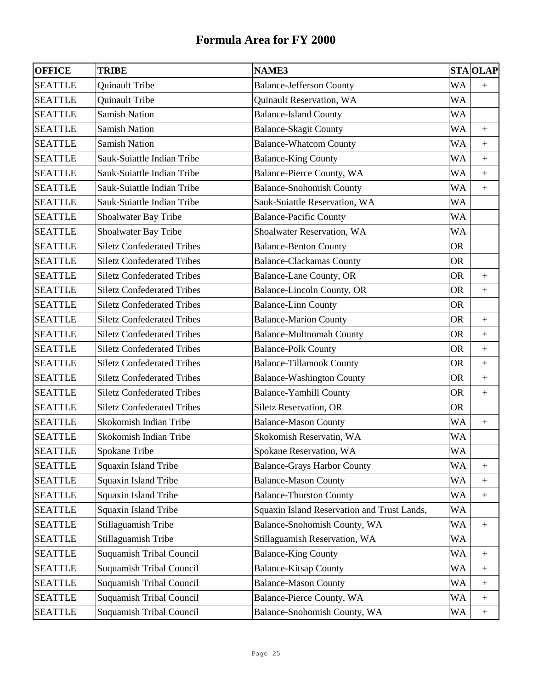| <b>OFFICE</b>  | <b>TRIBE</b>                      | <b>NAME3</b>                                | <b>STA OLAP</b> |                   |
|----------------|-----------------------------------|---------------------------------------------|-----------------|-------------------|
| <b>SEATTLE</b> | Quinault Tribe                    | <b>Balance-Jefferson County</b>             | WA              | $\boldsymbol{+}$  |
| <b>SEATTLE</b> | Quinault Tribe                    | Quinault Reservation, WA                    | WA              |                   |
| <b>SEATTLE</b> | <b>Samish Nation</b>              | <b>Balance-Island County</b>                | WA              |                   |
| <b>SEATTLE</b> | <b>Samish Nation</b>              | <b>Balance-Skagit County</b>                | WA              | $\boldsymbol{+}$  |
| <b>SEATTLE</b> | <b>Samish Nation</b>              | <b>Balance-Whatcom County</b>               | WA              | $+$               |
| <b>SEATTLE</b> | Sauk-Suiattle Indian Tribe        | <b>Balance-King County</b>                  | WA              | $\boldsymbol{+}$  |
| <b>SEATTLE</b> | Sauk-Suiattle Indian Tribe        | Balance-Pierce County, WA                   | WA              | $\ddot{}$         |
| <b>SEATTLE</b> | Sauk-Suiattle Indian Tribe        | <b>Balance-Snohomish County</b>             | WA              | $\boldsymbol{+}$  |
| <b>SEATTLE</b> | Sauk-Suiattle Indian Tribe        | Sauk-Suiattle Reservation, WA               | WA              |                   |
| <b>SEATTLE</b> | Shoalwater Bay Tribe              | <b>Balance-Pacific County</b>               | WA              |                   |
| <b>SEATTLE</b> | Shoalwater Bay Tribe              | Shoalwater Reservation, WA                  | WA              |                   |
| <b>SEATTLE</b> | <b>Siletz Confederated Tribes</b> | <b>Balance-Benton County</b>                | <b>OR</b>       |                   |
| <b>SEATTLE</b> | <b>Siletz Confederated Tribes</b> | <b>Balance-Clackamas County</b>             | <b>OR</b>       |                   |
| <b>SEATTLE</b> | <b>Siletz Confederated Tribes</b> | <b>Balance-Lane County, OR</b>              | <b>OR</b>       | $+$               |
| <b>SEATTLE</b> | <b>Siletz Confederated Tribes</b> | Balance-Lincoln County, OR                  | <b>OR</b>       | $\boldsymbol{+}$  |
| <b>SEATTLE</b> | <b>Siletz Confederated Tribes</b> | <b>Balance-Linn County</b>                  | <b>OR</b>       |                   |
| <b>SEATTLE</b> | <b>Siletz Confederated Tribes</b> | <b>Balance-Marion County</b>                | <b>OR</b>       | $\boldsymbol{+}$  |
| <b>SEATTLE</b> | <b>Siletz Confederated Tribes</b> | <b>Balance-Multnomah County</b>             | <b>OR</b>       | $\boldsymbol{+}$  |
| <b>SEATTLE</b> | <b>Siletz Confederated Tribes</b> | <b>Balance-Polk County</b>                  | <b>OR</b>       | $\ddot{}$         |
| <b>SEATTLE</b> | <b>Siletz Confederated Tribes</b> | <b>Balance-Tillamook County</b>             | <b>OR</b>       | $\boldsymbol{+}$  |
| <b>SEATTLE</b> | <b>Siletz Confederated Tribes</b> | <b>Balance-Washington County</b>            | <b>OR</b>       | $\boldsymbol{+}$  |
| <b>SEATTLE</b> | <b>Siletz Confederated Tribes</b> | <b>Balance-Yamhill County</b>               | <b>OR</b>       | $\qquad \qquad +$ |
| <b>SEATTLE</b> | <b>Siletz Confederated Tribes</b> | Siletz Reservation, OR                      | <b>OR</b>       |                   |
| <b>SEATTLE</b> | Skokomish Indian Tribe            | <b>Balance-Mason County</b>                 | WA              | $\boldsymbol{+}$  |
| <b>SEATTLE</b> | Skokomish Indian Tribe            | Skokomish Reservatin, WA                    | WA              |                   |
| <b>SEATTLE</b> | Spokane Tribe                     | Spokane Reservation, WA                     | <b>WA</b>       |                   |
| <b>SEATTLE</b> | Squaxin Island Tribe              | <b>Balance-Grays Harbor County</b>          | WA              | $+$               |
| <b>SEATTLE</b> | Squaxin Island Tribe              | <b>Balance-Mason County</b>                 | WA              |                   |
| <b>SEATTLE</b> | Squaxin Island Tribe              | <b>Balance-Thurston County</b>              | WA              | $\boldsymbol{+}$  |
| <b>SEATTLE</b> | Squaxin Island Tribe              | Squaxin Island Reservation and Trust Lands, | WA              |                   |
| <b>SEATTLE</b> | Stillaguamish Tribe               | Balance-Snohomish County, WA                | WA              | $\boldsymbol{+}$  |
| <b>SEATTLE</b> | Stillaguamish Tribe               | Stillaguamish Reservation, WA               | WA              |                   |
| <b>SEATTLE</b> | Suquamish Tribal Council          | <b>Balance-King County</b>                  | WA              | $^{+}$            |
| <b>SEATTLE</b> | Suquamish Tribal Council          | <b>Balance-Kitsap County</b>                | WA              | $\boldsymbol{+}$  |
| <b>SEATTLE</b> | Suquamish Tribal Council          | <b>Balance-Mason County</b>                 | WA              | $\boldsymbol{+}$  |
| <b>SEATTLE</b> | Suquamish Tribal Council          | Balance-Pierce County, WA                   | WA              | $\boldsymbol{+}$  |
| <b>SEATTLE</b> | Suquamish Tribal Council          | Balance-Snohomish County, WA                | WA              | $\boldsymbol{+}$  |